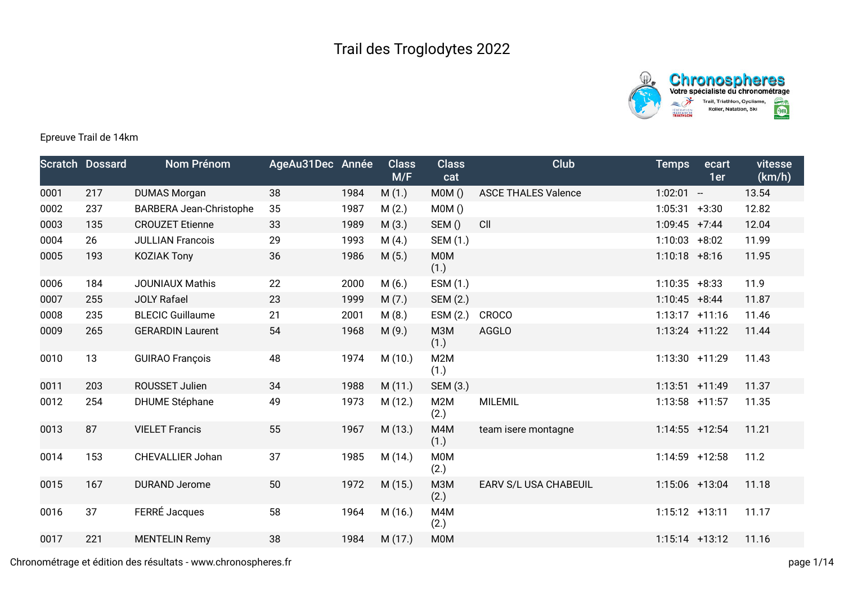



## Epreuve Trail de 14km

|      | <b>Scratch Dossard</b> | Nom Prénom                     | AgeAu31Dec Année |      | <b>Class</b><br>M/F | <b>Class</b><br>cat | Club                       | <b>Temps</b>     | ecart<br>1er | vitesse<br>(km/h) |
|------|------------------------|--------------------------------|------------------|------|---------------------|---------------------|----------------------------|------------------|--------------|-------------------|
| 0001 | 217                    | <b>DUMAS Morgan</b>            | 38               | 1984 | M(1.)               | MOM()               | <b>ASCE THALES Valence</b> | $1:02:01 -$      |              | 13.54             |
| 0002 | 237                    | <b>BARBERA Jean-Christophe</b> | 35               | 1987 | M(2.)               | MOM()               |                            | 1:05:31          | $+3:30$      | 12.82             |
| 0003 | 135                    | <b>CROUZET Etienne</b>         | 33               | 1989 | M(3.)               | SEM()               | CII                        | $1:09:45$ +7:44  |              | 12.04             |
| 0004 | 26                     | <b>JULLIAN Francois</b>        | 29               | 1993 | M(4.)               | SEM (1.)            |                            | $1:10:03 + 8:02$ |              | 11.99             |
| 0005 | 193                    | <b>KOZIAK Tony</b>             | 36               | 1986 | M(5.)               | <b>MOM</b><br>(1.)  |                            | $1:10:18$ +8:16  |              | 11.95             |
| 0006 | 184                    | <b>JOUNIAUX Mathis</b>         | 22               | 2000 | M(6.)               | ESM (1.)            |                            | 1:10:35          | $+8:33$      | 11.9              |
| 0007 | 255                    | <b>JOLY Rafael</b>             | 23               | 1999 | M(7.)               | SEM (2.)            |                            | $1:10:45 + 8:44$ |              | 11.87             |
| 0008 | 235                    | <b>BLECIC Guillaume</b>        | 21               | 2001 | M(8.)               | ESM (2.)            | <b>CROCO</b>               | $1:13:17$ +11:16 |              | 11.46             |
| 0009 | 265                    | <b>GERARDIN Laurent</b>        | 54               | 1968 | M(9.)               | M3M<br>(1.)         | <b>AGGLO</b>               | $1:13:24$ +11:22 |              | 11.44             |
| 0010 | 13                     | <b>GUIRAO François</b>         | 48               | 1974 | M(10.)              | M2M<br>(1.)         |                            | 1:13:30 +11:29   |              | 11.43             |
| 0011 | 203                    | ROUSSET Julien                 | 34               | 1988 | M(11.)              | SEM (3.)            |                            | $1:13:51$ +11:49 |              | 11.37             |
| 0012 | 254                    | <b>DHUME Stéphane</b>          | 49               | 1973 | M (12.)             | M2M<br>(2.)         | <b>MILEMIL</b>             | $1:13:58$ +11:57 |              | 11.35             |
| 0013 | 87                     | <b>VIELET Francis</b>          | 55               | 1967 | M (13.)             | M4M<br>(1.)         | team isere montagne        | $1:14:55$ +12:54 |              | 11.21             |
| 0014 | 153                    | <b>CHEVALLIER Johan</b>        | 37               | 1985 | M (14.)             | M0M<br>(2.)         |                            | 1:14:59 +12:58   |              | 11.2              |
| 0015 | 167                    | <b>DURAND Jerome</b>           | 50               | 1972 | M(15.)              | M3M<br>(2.)         | EARV S/L USA CHABEUIL      | 1:15:06 +13:04   |              | 11.18             |
| 0016 | 37                     | FERRÉ Jacques                  | 58               | 1964 | M (16.)             | M4M<br>(2.)         |                            | $1:15:12 +13:11$ |              | 11.17             |
| 0017 | 221                    | <b>MENTELIN Remy</b>           | 38               | 1984 | M (17.)             | M0M                 |                            | $1:15:14$ +13:12 |              | 11.16             |

Chronométrage et édition des résultats - www.chronospheres.fr page 1/14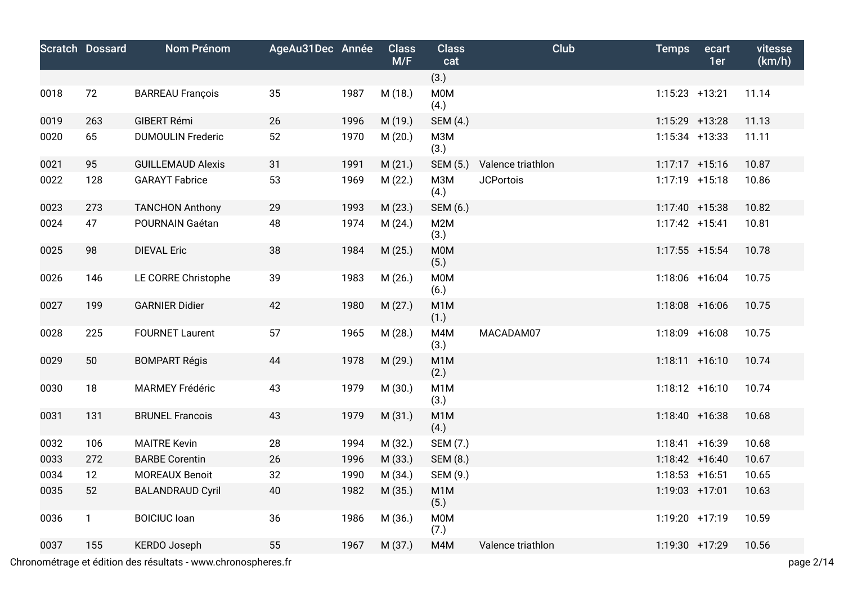|      | <b>Scratch Dossard</b> | Nom Prénom               | AgeAu31Dec Année |      | <b>Class</b><br>M/F | <b>Class</b><br>cat      | Club              | <b>Temps</b>      | ecart<br>1er | vitesse<br>(km/h) |
|------|------------------------|--------------------------|------------------|------|---------------------|--------------------------|-------------------|-------------------|--------------|-------------------|
|      |                        |                          |                  |      |                     | (3.)                     |                   |                   |              |                   |
| 0018 | 72                     | <b>BARREAU François</b>  | 35               | 1987 | M (18.)             | <b>M0M</b><br>(4.)       |                   | $1:15:23$ +13:21  |              | 11.14             |
| 0019 | 263                    | GIBERT Rémi              | 26               | 1996 | M (19.)             | SEM (4.)                 |                   | 1:15:29 +13:28    |              | 11.13             |
| 0020 | 65                     | <b>DUMOULIN Frederic</b> | 52               | 1970 | M(20.)              | <b>МЗМ</b><br>(3.)       |                   | $1:15:34$ +13:33  |              | 11.11             |
| 0021 | 95                     | <b>GUILLEMAUD Alexis</b> | 31               | 1991 | M(21.)              | SEM (5.)                 | Valence triathlon | $1:17:17$ +15:16  |              | 10.87             |
| 0022 | 128                    | <b>GARAYT Fabrice</b>    | 53               | 1969 | M(22.)              | M3M<br>(4.)              | <b>JCPortois</b>  | $1:17:19$ +15:18  |              | 10.86             |
| 0023 | 273                    | <b>TANCHON Anthony</b>   | 29               | 1993 | M(23.)              | SEM (6.)                 |                   | $1:17:40 + 15:38$ |              | 10.82             |
| 0024 | 47                     | POURNAIN Gaétan          | 48               | 1974 | M(24.)              | M2M<br>(3.)              |                   | $1:17:42$ +15:41  |              | 10.81             |
| 0025 | 98                     | <b>DIEVAL Eric</b>       | 38               | 1984 | M(25.)              | <b>MOM</b><br>(5.)       |                   | $1:17:55$ +15:54  |              | 10.78             |
| 0026 | 146                    | LE CORRE Christophe      | 39               | 1983 | M(26.)              | <b>MOM</b><br>(6.)       |                   | $1:18:06$ +16:04  |              | 10.75             |
| 0027 | 199                    | <b>GARNIER Didier</b>    | 42               | 1980 | M(27.)              | M <sub>1</sub> M<br>(1.) |                   | $1:18:08$ +16:06  |              | 10.75             |
| 0028 | 225                    | <b>FOURNET Laurent</b>   | 57               | 1965 | M (28.)             | M4M<br>(3.)              | MACADAM07         | $1:18:09$ +16:08  |              | 10.75             |
| 0029 | 50                     | <b>BOMPART Régis</b>     | 44               | 1978 | M (29.)             | M <sub>1</sub> M<br>(2.) |                   | $1:18:11 + 16:10$ |              | 10.74             |
| 0030 | 18                     | <b>MARMEY Frédéric</b>   | 43               | 1979 | M (30.)             | M <sub>1</sub> M<br>(3.) |                   | $1:18:12 + 16:10$ |              | 10.74             |
| 0031 | 131                    | <b>BRUNEL Francois</b>   | 43               | 1979 | M(31.)              | M <sub>1</sub> M<br>(4.) |                   | $1:18:40 + 16:38$ |              | 10.68             |
| 0032 | 106                    | <b>MAITRE Kevin</b>      | 28               | 1994 | M (32.)             | SEM (7.)                 |                   | $1:18:41 + 16:39$ |              | 10.68             |
| 0033 | 272                    | <b>BARBE Corentin</b>    | 26               | 1996 | M (33.)             | SEM (8.)                 |                   | $1:18:42 + 16:40$ |              | 10.67             |
| 0034 | 12                     | <b>MOREAUX Benoit</b>    | 32               | 1990 | M (34.)             | SEM (9.)                 |                   | $1:18:53$ +16:51  |              | 10.65             |
| 0035 | 52                     | <b>BALANDRAUD Cyril</b>  | 40               | 1982 | M (35.)             | M <sub>1</sub> M<br>(5.) |                   | 1:19:03 +17:01    |              | 10.63             |
| 0036 | $\mathbf{1}$           | <b>BOICIUC</b> Ioan      | 36               | 1986 | M (36.)             | M0M<br>(7.)              |                   | 1:19:20 +17:19    |              | 10.59             |
| 0037 | 155                    | <b>KERDO Joseph</b>      | 55               | 1967 | M (37.)             | M4M                      | Valence triathlon | 1:19:30 +17:29    |              | 10.56             |

Chronométrage et édition des résultats - www.chronospheres.fr page 2/14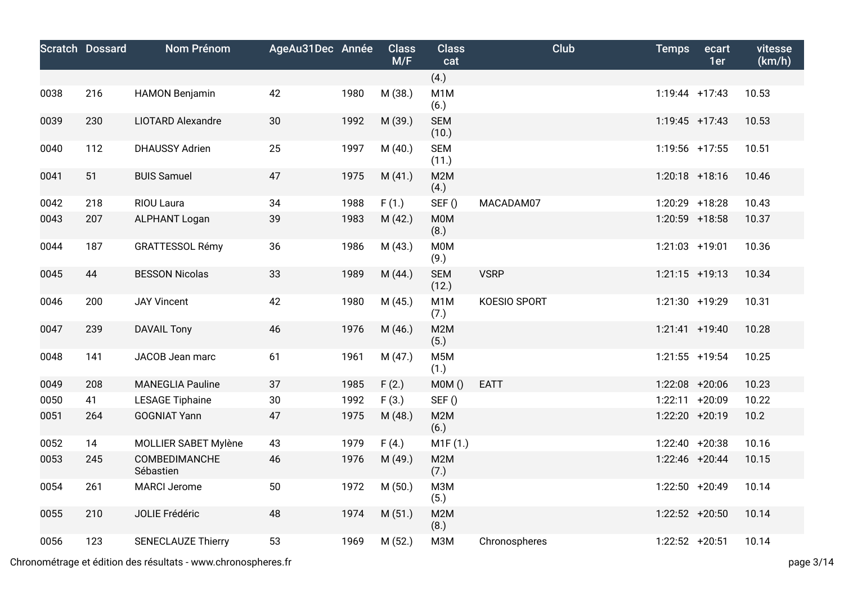|      | <b>Scratch Dossard</b> | Nom Prénom                 | AgeAu31Dec Année |      | <b>Class</b><br>M/F | <b>Class</b><br>cat      | Club          | <b>Temps</b>      | ecart<br>1er | vitesse<br>(km/h) |
|------|------------------------|----------------------------|------------------|------|---------------------|--------------------------|---------------|-------------------|--------------|-------------------|
|      |                        |                            |                  |      |                     | (4.)                     |               |                   |              |                   |
| 0038 | 216                    | <b>HAMON Benjamin</b>      | 42               | 1980 | M (38.)             | M <sub>1</sub> M<br>(6.) |               | $1:19:44$ +17:43  |              | 10.53             |
| 0039 | 230                    | <b>LIOTARD Alexandre</b>   | 30               | 1992 | M (39.)             | <b>SEM</b><br>(10.)      |               | $1:19:45$ +17:43  |              | 10.53             |
| 0040 | 112                    | <b>DHAUSSY Adrien</b>      | 25               | 1997 | M(40.)              | <b>SEM</b><br>(11.)      |               | 1:19:56 +17:55    |              | 10.51             |
| 0041 | 51                     | <b>BUIS Samuel</b>         | 47               | 1975 | M(41.)              | M2M<br>(4.)              |               | $1:20:18$ +18:16  |              | 10.46             |
| 0042 | 218                    | RIOU Laura                 | 34               | 1988 | F(1.)               | SEF()                    | MACADAM07     | 1:20:29 +18:28    |              | 10.43             |
| 0043 | 207                    | <b>ALPHANT Logan</b>       | 39               | 1983 | M(42.)              | M0M<br>(8.)              |               | 1:20:59 +18:58    |              | 10.37             |
| 0044 | 187                    | <b>GRATTESSOL Rémy</b>     | 36               | 1986 | M (43.)             | M0M<br>(9.)              |               | 1:21:03 +19:01    |              | 10.36             |
| 0045 | 44                     | <b>BESSON Nicolas</b>      | 33               | 1989 | M (44.)             | <b>SEM</b><br>(12.)      | <b>VSRP</b>   | $1:21:15$ +19:13  |              | 10.34             |
| 0046 | 200                    | <b>JAY Vincent</b>         | 42               | 1980 | M (45.)             | M1M<br>(7.)              | KOESIO SPORT  | 1:21:30 +19:29    |              | 10.31             |
| 0047 | 239                    | <b>DAVAIL Tony</b>         | 46               | 1976 | M (46.)             | M2M<br>(5.)              |               | $1:21:41$ +19:40  |              | 10.28             |
| 0048 | 141                    | JACOB Jean marc            | 61               | 1961 | M (47.)             | M <sub>5</sub> M<br>(1.) |               | $1:21:55$ +19:54  |              | 10.25             |
| 0049 | 208                    | <b>MANEGLIA Pauline</b>    | 37               | 1985 | F(2.)               | MOM()                    | <b>EATT</b>   | 1:22:08 +20:06    |              | 10.23             |
| 0050 | 41                     | <b>LESAGE Tiphaine</b>     | 30               | 1992 | F(3.)               | SEF()                    |               | 1:22:11           | $+20:09$     | 10.22             |
| 0051 | 264                    | <b>GOGNIAT Yann</b>        | 47               | 1975 | M (48.)             | M2M<br>(6.)              |               | 1:22:20 +20:19    |              | 10.2              |
| 0052 | 14                     | MOLLIER SABET Mylène       | 43               | 1979 | F(4.)               | M1F(1.)                  |               | $1:22:40 + 20:38$ |              | 10.16             |
| 0053 | 245                    | COMBEDIMANCHE<br>Sébastien | 46               | 1976 | M (49.)             | M2M<br>(7.)              |               | 1:22:46 +20:44    |              | 10.15             |
| 0054 | 261                    | <b>MARCI Jerome</b>        | 50               | 1972 | M(50.)              | M3M<br>(5.)              |               | 1:22:50 +20:49    |              | 10.14             |
| 0055 | 210                    | JOLIE Frédéric             | 48               | 1974 | M(51.)              | M2M<br>(8.)              |               | $1:22:52 + 20:50$ |              | 10.14             |
| 0056 | 123                    | <b>SENECLAUZE Thierry</b>  | 53               | 1969 | M (52.)             | M3M                      | Chronospheres | $1:22:52$ +20:51  |              | 10.14             |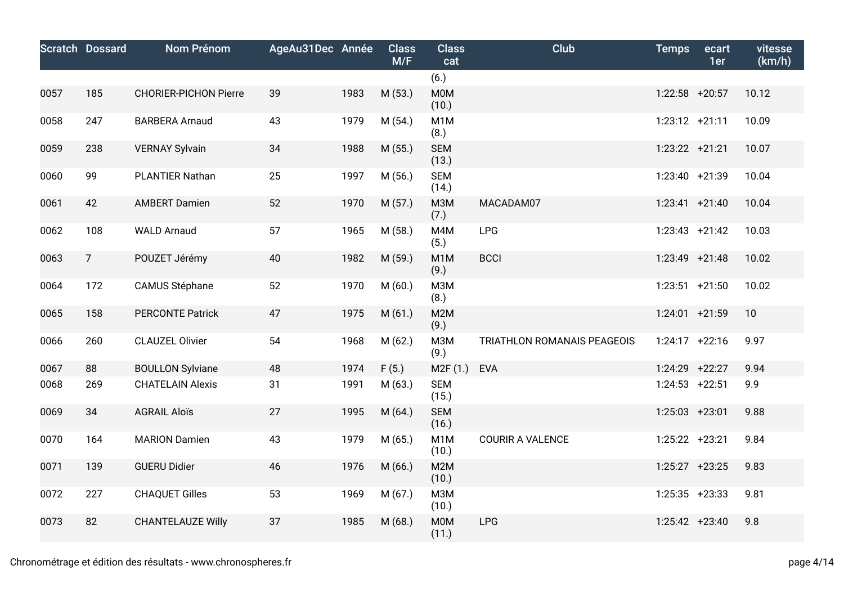|      | <b>Scratch Dossard</b> | Nom Prénom                   | AgeAu31Dec Année |      | <b>Class</b><br>M/F | <b>Class</b><br>cat       | <b>Club</b>                 | <b>Temps</b>     | ecart<br>1er | vitesse<br>(km/h) |
|------|------------------------|------------------------------|------------------|------|---------------------|---------------------------|-----------------------------|------------------|--------------|-------------------|
|      |                        |                              |                  |      |                     | (6.)                      |                             |                  |              |                   |
| 0057 | 185                    | <b>CHORIER-PICHON Pierre</b> | 39               | 1983 | M (53.)             | <b>M0M</b><br>(10.)       |                             | $1:22:58$ +20:57 |              | 10.12             |
| 0058 | 247                    | <b>BARBERA Arnaud</b>        | 43               | 1979 | M(54.)              | M1M<br>(8.)               |                             | $1:23:12 +21:11$ |              | 10.09             |
| 0059 | 238                    | <b>VERNAY Sylvain</b>        | 34               | 1988 | M (55.)             | <b>SEM</b><br>(13.)       |                             | $1:23:22 +21:21$ |              | 10.07             |
| 0060 | 99                     | PLANTIER Nathan              | 25               | 1997 | M (56.)             | <b>SEM</b><br>(14.)       |                             | 1:23:40 +21:39   |              | 10.04             |
| 0061 | 42                     | <b>AMBERT Damien</b>         | 52               | 1970 | M (57.)             | <b>МЗМ</b><br>(7.)        | MACADAM07                   | $1:23:41 +21:40$ |              | 10.04             |
| 0062 | 108                    | <b>WALD Arnaud</b>           | 57               | 1965 | M (58.)             | M4M<br>(5.)               | <b>LPG</b>                  | $1:23:43 +21:42$ |              | 10.03             |
| 0063 | $\overline{7}$         | POUZET Jérémy                | 40               | 1982 | M (59.)             | M <sub>1</sub> M<br>(9.)  | <b>BCCI</b>                 | $1:23:49$ +21:48 |              | 10.02             |
| 0064 | 172                    | <b>CAMUS Stéphane</b>        | 52               | 1970 | M(60.)              | M3M<br>(8.)               |                             | $1:23:51$ +21:50 |              | 10.02             |
| 0065 | 158                    | <b>PERCONTE Patrick</b>      | 47               | 1975 | M(61.)              | M2M<br>(9.)               |                             | $1:24:01$ +21:59 |              | 10                |
| 0066 | 260                    | <b>CLAUZEL Olivier</b>       | 54               | 1968 | M (62.)             | M3M<br>(9.)               | TRIATHLON ROMANAIS PEAGEOIS | $1:24:17$ +22:16 |              | 9.97              |
| 0067 | 88                     | <b>BOULLON Sylviane</b>      | 48               | 1974 | F(5.)               | M <sub>2</sub> F(1.)      | <b>EVA</b>                  | $1:24:29$ +22:27 |              | 9.94              |
| 0068 | 269                    | <b>CHATELAIN Alexis</b>      | 31               | 1991 | M (63.)             | <b>SEM</b><br>(15.)       |                             | $1:24:53$ +22:51 |              | 9.9               |
| 0069 | 34                     | <b>AGRAIL Aloïs</b>          | 27               | 1995 | M(64.)              | <b>SEM</b><br>(16.)       |                             | 1:25:03 +23:01   |              | 9.88              |
| 0070 | 164                    | <b>MARION Damien</b>         | 43               | 1979 | M (65.)             | M <sub>1</sub> M<br>(10.) | <b>COURIR A VALENCE</b>     | $1:25:22 +23:21$ |              | 9.84              |
| 0071 | 139                    | <b>GUERU Didier</b>          | 46               | 1976 | M (66.)             | M2M<br>(10.)              |                             | $1:25:27$ +23:25 |              | 9.83              |
| 0072 | 227                    | <b>CHAQUET Gilles</b>        | 53               | 1969 | M (67.)             | M3M<br>(10.)              |                             | $1:25:35$ +23:33 |              | 9.81              |
| 0073 | 82                     | <b>CHANTELAUZE Willy</b>     | 37               | 1985 | M(68.)              | <b>M0M</b><br>(11.)       | LPG                         | $1:25:42 +23:40$ |              | 9.8               |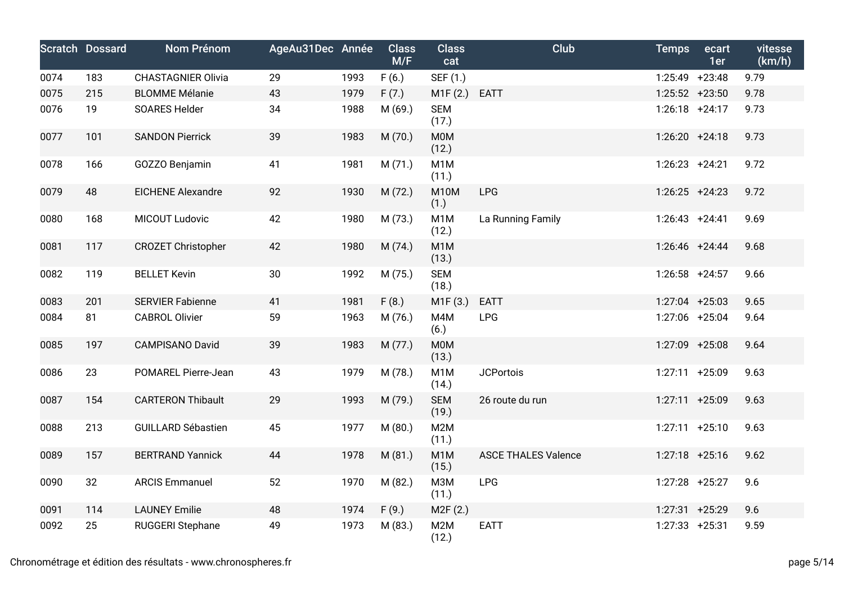|      | <b>Scratch Dossard</b> | Nom Prénom                | AgeAu31Dec Année |      | <b>Class</b><br>M/F | <b>Class</b><br>cat       | Club                       | <b>Temps</b>      | ecart<br>1er | vitesse<br>(km/h) |
|------|------------------------|---------------------------|------------------|------|---------------------|---------------------------|----------------------------|-------------------|--------------|-------------------|
| 0074 | 183                    | <b>CHASTAGNIER Olivia</b> | 29               | 1993 | F(6.)               | SEF (1.)                  |                            | $1:25:49$ +23:48  |              | 9.79              |
| 0075 | 215                    | <b>BLOMME Mélanie</b>     | 43               | 1979 | F(7.)               | M1F(2.)                   | <b>EATT</b>                | $1:25:52$ +23:50  |              | 9.78              |
| 0076 | 19                     | <b>SOARES Helder</b>      | 34               | 1988 | M (69.)             | <b>SEM</b><br>(17.)       |                            | $1:26:18$ +24:17  |              | 9.73              |
| 0077 | 101                    | <b>SANDON Pierrick</b>    | 39               | 1983 | M (70.)             | <b>MOM</b><br>(12.)       |                            | $1:26:20 +24:18$  |              | 9.73              |
| 0078 | 166                    | GOZZO Benjamin            | 41               | 1981 | M(71.)              | M <sub>1</sub> M<br>(11.) |                            | $1:26:23$ +24:21  |              | 9.72              |
| 0079 | 48                     | <b>EICHENE Alexandre</b>  | 92               | 1930 | M (72.)             | <b>M10M</b><br>(1.)       | <b>LPG</b>                 | $1:26:25$ +24:23  |              | 9.72              |
| 0080 | 168                    | MICOUT Ludovic            | 42               | 1980 | M (73.)             | M <sub>1</sub> M<br>(12.) | La Running Family          | $1:26:43 +24:41$  |              | 9.69              |
| 0081 | 117                    | <b>CROZET Christopher</b> | 42               | 1980 | M (74.)             | M <sub>1</sub> M<br>(13.) |                            | $1:26:46$ +24:44  |              | 9.68              |
| 0082 | 119                    | <b>BELLET Kevin</b>       | 30               | 1992 | M (75.)             | <b>SEM</b><br>(18.)       |                            | $1:26:58$ +24:57  |              | 9.66              |
| 0083 | 201                    | <b>SERVIER Fabienne</b>   | 41               | 1981 | F(8.)               | M1F(3.)                   | <b>EATT</b>                | $1:27:04$ +25:03  |              | 9.65              |
| 0084 | 81                     | <b>CABROL Olivier</b>     | 59               | 1963 | M (76.)             | M4M<br>(6.)               | <b>LPG</b>                 | 1:27:06 +25:04    |              | 9.64              |
| 0085 | 197                    | <b>CAMPISANO David</b>    | 39               | 1983 | M (77.)             | <b>M0M</b><br>(13.)       |                            | 1:27:09 +25:08    |              | 9.64              |
| 0086 | 23                     | POMAREL Pierre-Jean       | 43               | 1979 | M (78.)             | M <sub>1</sub> M<br>(14.) | <b>JCPortois</b>           | 1:27:11 +25:09    |              | 9.63              |
| 0087 | 154                    | <b>CARTERON Thibault</b>  | 29               | 1993 | M (79.)             | <b>SEM</b><br>(19.)       | 26 route du run            | $1:27:11 + 25:09$ |              | 9.63              |
| 0088 | 213                    | <b>GUILLARD Sébastien</b> | 45               | 1977 | M (80.)             | M2M<br>(11.)              |                            | $1:27:11 + 25:10$ |              | 9.63              |
| 0089 | 157                    | <b>BERTRAND Yannick</b>   | 44               | 1978 | M (81.)             | M <sub>1</sub> M<br>(15.) | <b>ASCE THALES Valence</b> | $1:27:18$ +25:16  |              | 9.62              |
| 0090 | 32                     | <b>ARCIS Emmanuel</b>     | 52               | 1970 | M (82.)             | <b>МЗМ</b><br>(11.)       | LPG                        | 1:27:28 +25:27    |              | 9.6               |
| 0091 | 114                    | <b>LAUNEY Emilie</b>      | 48               | 1974 | F(9.)               | M2F(2.)                   |                            | $1:27:31$ +25:29  |              | 9.6               |
| 0092 | 25                     | <b>RUGGERI Stephane</b>   | 49               | 1973 | M (83.)             | M <sub>2</sub> M<br>(12.) | <b>EATT</b>                | $1:27:33$ +25:31  |              | 9.59              |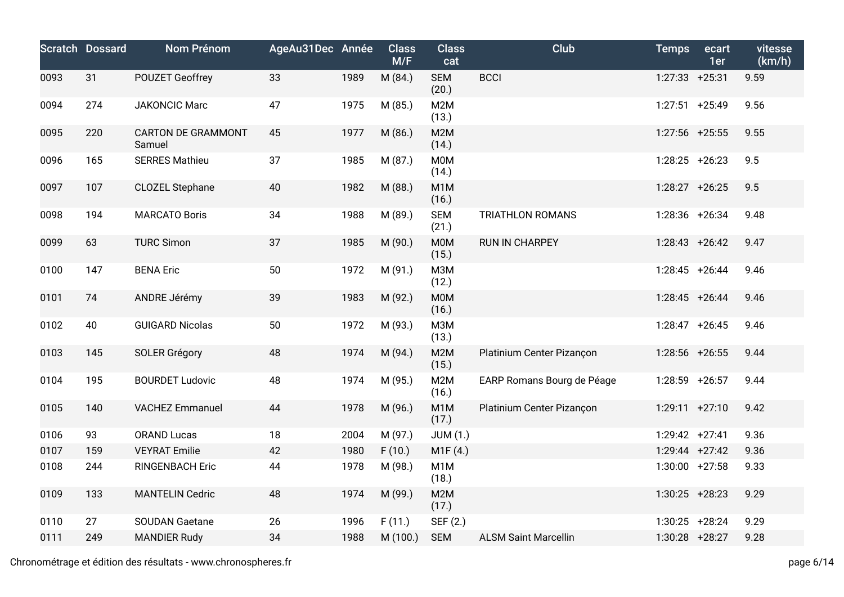|      | <b>Scratch Dossard</b> | Nom Prénom                          | AgeAu31Dec Année |      | <b>Class</b><br>M/F | <b>Class</b><br>cat       | Club                        | <b>Temps</b>      | ecart<br>1er | vitesse<br>(km/h) |
|------|------------------------|-------------------------------------|------------------|------|---------------------|---------------------------|-----------------------------|-------------------|--------------|-------------------|
| 0093 | 31                     | <b>POUZET Geoffrey</b>              | 33               | 1989 | M (84.)             | <b>SEM</b><br>(20.)       | <b>BCCI</b>                 | $1:27:33$ +25:31  |              | 9.59              |
| 0094 | 274                    | <b>JAKONCIC Marc</b>                | 47               | 1975 | M (85.)             | M2M<br>(13.)              |                             | $1:27:51$ +25:49  |              | 9.56              |
| 0095 | 220                    | <b>CARTON DE GRAMMONT</b><br>Samuel | 45               | 1977 | M (86.)             | M <sub>2</sub> M<br>(14.) |                             | 1:27:56 +25:55    |              | 9.55              |
| 0096 | 165                    | <b>SERRES Mathieu</b>               | 37               | 1985 | M (87.)             | <b>M0M</b><br>(14.)       |                             | $1:28:25$ +26:23  |              | 9.5               |
| 0097 | 107                    | <b>CLOZEL Stephane</b>              | 40               | 1982 | M (88.)             | M <sub>1</sub> M<br>(16.) |                             | $1:28:27$ +26:25  |              | 9.5               |
| 0098 | 194                    | <b>MARCATO Boris</b>                | 34               | 1988 | M (89.)             | <b>SEM</b><br>(21.)       | <b>TRIATHLON ROMANS</b>     | 1:28:36 +26:34    |              | 9.48              |
| 0099 | 63                     | <b>TURC Simon</b>                   | 37               | 1985 | M (90.)             | <b>MOM</b><br>(15.)       | <b>RUN IN CHARPEY</b>       | $1:28:43 + 26:42$ |              | 9.47              |
| 0100 | 147                    | <b>BENA Eric</b>                    | 50               | 1972 | M (91.)             | M3M<br>(12.)              |                             | $1:28:45$ +26:44  |              | 9.46              |
| 0101 | 74                     | ANDRE Jérémy                        | 39               | 1983 | M (92.)             | <b>MOM</b><br>(16.)       |                             | $1:28:45$ +26:44  |              | 9.46              |
| 0102 | 40                     | <b>GUIGARD Nicolas</b>              | 50               | 1972 | M (93.)             | M3M<br>(13.)              |                             | $1:28:47$ +26:45  |              | 9.46              |
| 0103 | 145                    | <b>SOLER Grégory</b>                | 48               | 1974 | M (94.)             | M2M<br>(15.)              | Platinium Center Pizançon   | 1:28:56 +26:55    |              | 9.44              |
| 0104 | 195                    | <b>BOURDET Ludovic</b>              | 48               | 1974 | M (95.)             | M2M<br>(16.)              | EARP Romans Bourg de Péage  | $1:28:59$ +26:57  |              | 9.44              |
| 0105 | 140                    | <b>VACHEZ Emmanuel</b>              | 44               | 1978 | M (96.)             | M <sub>1</sub> M<br>(17.) | Platinium Center Pizançon   | $1:29:11 + 27:10$ |              | 9.42              |
| 0106 | 93                     | <b>ORAND Lucas</b>                  | 18               | 2004 | M (97.)             | <b>JUM (1.)</b>           |                             | $1:29:42 +27:41$  |              | 9.36              |
| 0107 | 159                    | <b>VEYRAT Emilie</b>                | 42               | 1980 | F(10.)              | M1F(4.)                   |                             | $1:29:44$ +27:42  |              | 9.36              |
| 0108 | 244                    | <b>RINGENBACH Eric</b>              | 44               | 1978 | M (98.)             | M1M<br>(18.)              |                             | $1:30:00$ +27:58  |              | 9.33              |
| 0109 | 133                    | <b>MANTELIN Cedric</b>              | 48               | 1974 | M (99.)             | M2M<br>(17.)              |                             | $1:30:25$ +28:23  |              | 9.29              |
| 0110 | 27                     | <b>SOUDAN Gaetane</b>               | 26               | 1996 | F(11.)              | SEF (2.)                  |                             | $1:30:25$ +28:24  |              | 9.29              |
| 0111 | 249                    | <b>MANDIER Rudy</b>                 | 34               | 1988 | M (100.)            | <b>SEM</b>                | <b>ALSM Saint Marcellin</b> | 1:30:28 +28:27    |              | 9.28              |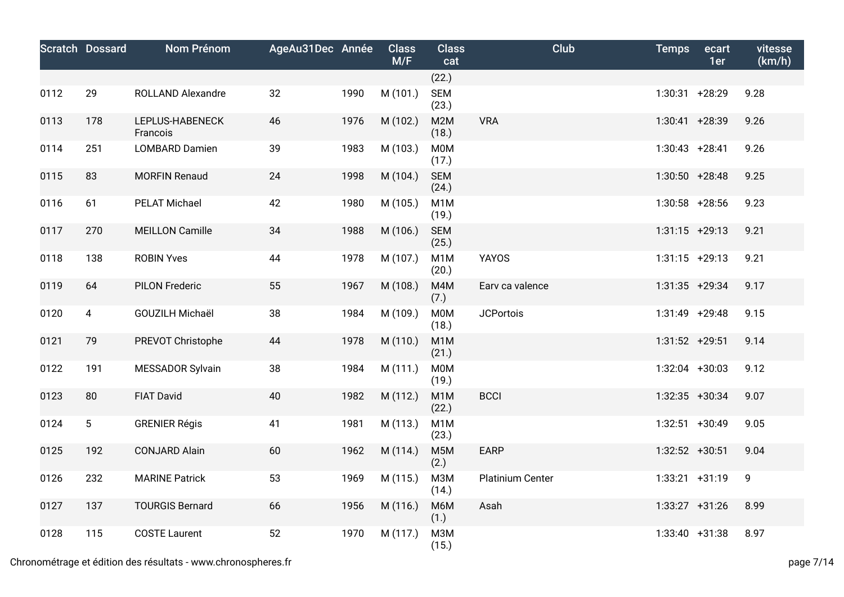|      | <b>Scratch Dossard</b> | <b>Nom Prénom</b>           | AgeAu31Dec Année |      | <b>Class</b><br>M/F | <b>Class</b><br>cat       | Club             | <b>Temps</b>     | ecart<br>1er | vitesse<br>(km/h) |
|------|------------------------|-----------------------------|------------------|------|---------------------|---------------------------|------------------|------------------|--------------|-------------------|
|      |                        |                             |                  |      |                     | (22.)                     |                  |                  |              |                   |
| 0112 | 29                     | ROLLAND Alexandre           | 32               | 1990 | M (101.)            | <b>SEM</b><br>(23.)       |                  | 1:30:31 +28:29   |              | 9.28              |
| 0113 | 178                    | LEPLUS-HABENECK<br>Francois | 46               | 1976 | M (102.)            | M2M<br>(18.)              | <b>VRA</b>       | 1:30:41 +28:39   |              | 9.26              |
| 0114 | 251                    | <b>LOMBARD Damien</b>       | 39               | 1983 | M (103.)            | <b>MOM</b><br>(17.)       |                  | $1:30:43$ +28:41 |              | 9.26              |
| 0115 | 83                     | <b>MORFIN Renaud</b>        | 24               | 1998 | M (104.)            | <b>SEM</b><br>(24.)       |                  | $1:30:50$ +28:48 |              | 9.25              |
| 0116 | 61                     | <b>PELAT Michael</b>        | 42               | 1980 | M (105.)            | M <sub>1</sub> M<br>(19.) |                  | 1:30:58 +28:56   |              | 9.23              |
| 0117 | 270                    | <b>MEILLON Camille</b>      | 34               | 1988 | M (106.)            | <b>SEM</b><br>(25.)       |                  | $1:31:15$ +29:13 |              | 9.21              |
| 0118 | 138                    | <b>ROBIN Yves</b>           | 44               | 1978 | M (107.)            | M <sub>1</sub> M<br>(20.) | <b>YAYOS</b>     | $1:31:15$ +29:13 |              | 9.21              |
| 0119 | 64                     | <b>PILON Frederic</b>       | 55               | 1967 | M (108.)            | M4M<br>(7.)               | Earv ca valence  | $1:31:35$ +29:34 |              | 9.17              |
| 0120 | $\overline{4}$         | GOUZILH Michaël             | 38               | 1984 | M (109.)            | <b>MOM</b><br>(18.)       | <b>JCPortois</b> | 1:31:49 +29:48   |              | 9.15              |
| 0121 | 79                     | PREVOT Christophe           | 44               | 1978 | M (110.)            | M <sub>1</sub> M<br>(21.) |                  | $1:31:52$ +29:51 |              | 9.14              |
| 0122 | 191                    | MESSADOR Sylvain            | 38               | 1984 | M (111.)            | <b>MOM</b><br>(19.)       |                  | $1:32:04$ +30:03 |              | 9.12              |
| 0123 | 80                     | <b>FIAT David</b>           | 40               | 1982 | M (112.)            | M <sub>1</sub> M<br>(22.) | <b>BCCI</b>      | $1:32:35$ +30:34 |              | 9.07              |
| 0124 | $5\phantom{.0}$        | <b>GRENIER Régis</b>        | 41               | 1981 | M (113.)            | M <sub>1</sub> M<br>(23.) |                  | $1:32:51$ +30:49 |              | 9.05              |
| 0125 | 192                    | <b>CONJARD Alain</b>        | 60               | 1962 | M (114.)            | M <sub>5</sub> M<br>(2.)  | <b>EARP</b>      | $1:32:52$ +30:51 |              | 9.04              |
| 0126 | 232                    | <b>MARINE Patrick</b>       | 53               | 1969 | M (115.)            | <b>МЗМ</b><br>(14.)       | Platinium Center | $1:33:21 +31:19$ |              | 9                 |
| 0127 | 137                    | <b>TOURGIS Bernard</b>      | 66               | 1956 | M (116.)            | M6M<br>(1.)               | Asah             | $1:33:27$ +31:26 |              | 8.99              |
| 0128 | 115                    | <b>COSTE Laurent</b>        | 52               | 1970 | M (117.)            | <b>МЗМ</b><br>(15.)       |                  | $1:33:40 +31:38$ |              | 8.97              |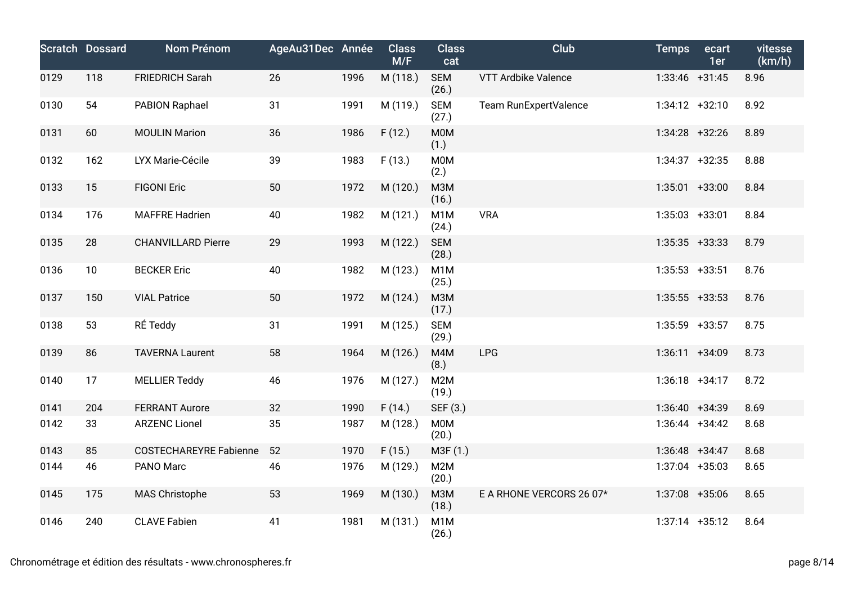|      | <b>Scratch Dossard</b> | Nom Prénom                    | AgeAu31Dec Année |      | <b>Class</b><br>M/F | <b>Class</b><br>cat       | Club                     | <b>Temps</b>      | ecart<br>1er | vitesse<br>(km/h) |
|------|------------------------|-------------------------------|------------------|------|---------------------|---------------------------|--------------------------|-------------------|--------------|-------------------|
| 0129 | 118                    | <b>FRIEDRICH Sarah</b>        | 26               | 1996 | M (118.)            | <b>SEM</b><br>(26.)       | VTT Ardbike Valence      | $1:33:46$ +31:45  |              | 8.96              |
| 0130 | 54                     | PABION Raphael                | 31               | 1991 | M (119.)            | <b>SEM</b><br>(27.)       | Team RunExpertValence    | $1:34:12 +32:10$  |              | 8.92              |
| 0131 | 60                     | <b>MOULIN Marion</b>          | 36               | 1986 | F(12.)              | M0M<br>(1.)               |                          | $1:34:28$ +32:26  |              | 8.89              |
| 0132 | 162                    | LYX Marie-Cécile              | 39               | 1983 | F(13.)              | M0M<br>(2.)               |                          | $1:34:37$ +32:35  |              | 8.88              |
| 0133 | 15                     | <b>FIGONI Eric</b>            | 50               | 1972 | M (120.)            | <b>МЗМ</b><br>(16.)       |                          | $1:35:01$ +33:00  |              | 8.84              |
| 0134 | 176                    | <b>MAFFRE Hadrien</b>         | 40               | 1982 | M (121.)            | M <sub>1</sub> M<br>(24.) | <b>VRA</b>               | $1:35:03$ +33:01  |              | 8.84              |
| 0135 | 28                     | <b>CHANVILLARD Pierre</b>     | 29               | 1993 | M (122.)            | <b>SEM</b><br>(28.)       |                          | $1:35:35$ +33:33  |              | 8.79              |
| 0136 | 10                     | <b>BECKER Eric</b>            | 40               | 1982 | M (123.)            | M <sub>1</sub> M<br>(25.) |                          | $1:35:53$ +33:51  |              | 8.76              |
| 0137 | 150                    | <b>VIAL Patrice</b>           | 50               | 1972 | M (124.)            | <b>МЗМ</b><br>(17.)       |                          | $1:35:55$ +33:53  |              | 8.76              |
| 0138 | 53                     | RÉ Teddy                      | 31               | 1991 | M (125.)            | <b>SEM</b><br>(29.)       |                          | 1:35:59 +33:57    |              | 8.75              |
| 0139 | 86                     | <b>TAVERNA Laurent</b>        | 58               | 1964 | M (126.)            | M4M<br>(8.)               | LPG                      | $1:36:11 + 34:09$ |              | 8.73              |
| 0140 | 17                     | <b>MELLIER Teddy</b>          | 46               | 1976 | M (127.)            | M2M<br>(19.)              |                          | $1:36:18$ +34:17  |              | 8.72              |
| 0141 | 204                    | <b>FERRANT Aurore</b>         | 32               | 1990 | F(14.)              | SEF (3.)                  |                          | $1:36:40 +34:39$  |              | 8.69              |
| 0142 | 33                     | <b>ARZENC Lionel</b>          | 35               | 1987 | M (128.)            | M0M<br>(20.)              |                          | $1:36:44$ +34:42  |              | 8.68              |
| 0143 | 85                     | <b>COSTECHAREYRE Fabienne</b> | 52               | 1970 | F(15.)              | M3F(1.)                   |                          | $1:36:48$ +34:47  |              | 8.68              |
| 0144 | 46                     | PANO Marc                     | 46               | 1976 | M (129.)            | M2M<br>(20.)              |                          | 1:37:04 +35:03    |              | 8.65              |
| 0145 | 175                    | MAS Christophe                | 53               | 1969 | M (130.)            | M3M<br>(18.)              | E A RHONE VERCORS 26 07* | 1:37:08 +35:06    |              | 8.65              |
| 0146 | 240                    | <b>CLAVE Fabien</b>           | 41               | 1981 | M (131.)            | M <sub>1</sub> M<br>(26.) |                          | $1:37:14$ +35:12  |              | 8.64              |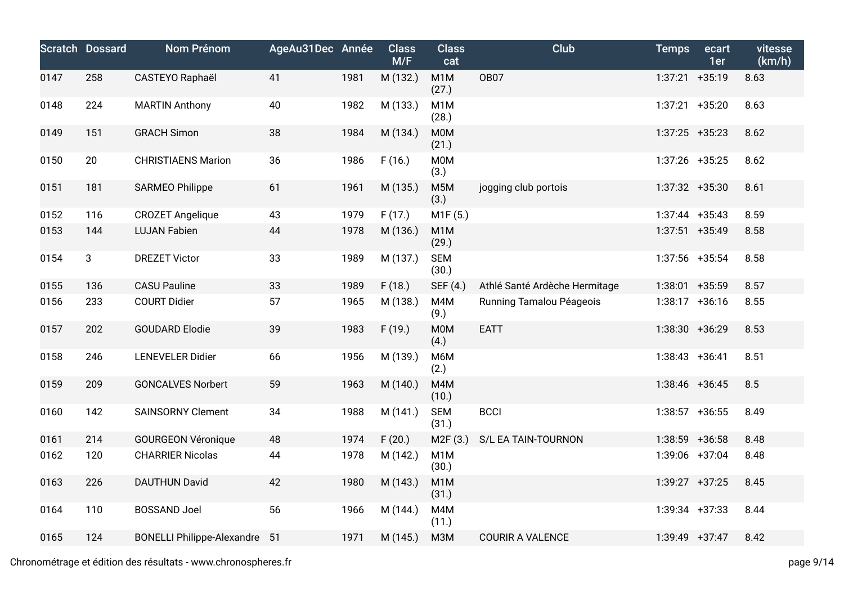|      | <b>Scratch Dossard</b> | <b>Nom Prénom</b>                    | AgeAu31Dec Année |      | <b>Class</b><br>M/F | <b>Class</b><br>cat       | Club                          | <b>Temps</b>      | ecart<br>1er | vitesse<br>(km/h) |
|------|------------------------|--------------------------------------|------------------|------|---------------------|---------------------------|-------------------------------|-------------------|--------------|-------------------|
| 0147 | 258                    | CASTEYO Raphaël                      | 41               | 1981 | M (132.)            | M <sub>1</sub> M<br>(27.) | <b>OB07</b>                   | $1:37:21 +35:19$  |              | 8.63              |
| 0148 | 224                    | <b>MARTIN Anthony</b>                | 40               | 1982 | M (133.)            | M <sub>1</sub> M<br>(28.) |                               | $1:37:21 +35:20$  |              | 8.63              |
| 0149 | 151                    | <b>GRACH Simon</b>                   | 38               | 1984 | M (134.)            | <b>MOM</b><br>(21.)       |                               | $1:37:25$ +35:23  |              | 8.62              |
| 0150 | 20                     | <b>CHRISTIAENS Marion</b>            | 36               | 1986 | F(16.)              | <b>M0M</b><br>(3.)        |                               | $1:37:26$ +35:25  |              | 8.62              |
| 0151 | 181                    | <b>SARMEO Philippe</b>               | 61               | 1961 | M (135.)            | M <sub>5</sub> M<br>(3.)  | jogging club portois          | $1:37:32 +35:30$  |              | 8.61              |
| 0152 | 116                    | <b>CROZET Angelique</b>              | 43               | 1979 | F(17.)              | M1F(5.)                   |                               | $1:37:44$ +35:43  |              | 8.59              |
| 0153 | 144                    | <b>LUJAN Fabien</b>                  | 44               | 1978 | M (136.)            | M <sub>1</sub> M<br>(29.) |                               | $1:37:51$ +35:49  |              | 8.58              |
| 0154 | 3                      | <b>DREZET Victor</b>                 | 33               | 1989 | M (137.)            | <b>SEM</b><br>(30.)       |                               | $1:37:56$ +35:54  |              | 8.58              |
| 0155 | 136                    | <b>CASU Pauline</b>                  | 33               | 1989 | F(18.)              | SEF (4.)                  | Athlé Santé Ardèche Hermitage | $1:38:01$ +35:59  |              | 8.57              |
| 0156 | 233                    | <b>COURT Didier</b>                  | 57               | 1965 | M (138.)            | M4M<br>(9.)               | Running Tamalou Péageois      | $1:38:17$ +36:16  |              | 8.55              |
| 0157 | 202                    | <b>GOUDARD Elodie</b>                | 39               | 1983 | F(19.)              | <b>M0M</b><br>(4.)        | <b>EATT</b>                   | $1:38:30 + 36:29$ |              | 8.53              |
| 0158 | 246                    | <b>LENEVELER Didier</b>              | 66               | 1956 | M (139.)            | M6M<br>(2.)               |                               | $1:38:43 +36:41$  |              | 8.51              |
| 0159 | 209                    | <b>GONCALVES Norbert</b>             | 59               | 1963 | M (140.)            | M4M<br>(10.)              |                               | $1:38:46$ +36:45  |              | 8.5               |
| 0160 | 142                    | <b>SAINSORNY Clement</b>             | 34               | 1988 | M (141.)            | <b>SEM</b><br>(31.)       | <b>BCCI</b>                   | $1:38:57$ +36:55  |              | 8.49              |
| 0161 | 214                    | <b>GOURGEON Véronique</b>            | 48               | 1974 | F(20.)              | M2F (3.)                  | S/L EA TAIN-TOURNON           | $1:38:59$ +36:58  |              | 8.48              |
| 0162 | 120                    | <b>CHARRIER Nicolas</b>              | 44               | 1978 | M (142.)            | M <sub>1</sub> M<br>(30.) |                               | 1:39:06 +37:04    |              | 8.48              |
| 0163 | 226                    | <b>DAUTHUN David</b>                 | 42               | 1980 | M (143.)            | M <sub>1</sub> M<br>(31.) |                               | $1:39:27 +37:25$  |              | 8.45              |
| 0164 | 110                    | <b>BOSSAND Joel</b>                  | 56               | 1966 | M (144.)            | M4M<br>(11.)              |                               | $1:39:34$ +37:33  |              | 8.44              |
| 0165 | 124                    | <b>BONELLI Philippe-Alexandre 51</b> |                  | 1971 | M (145.)            | M3M                       | <b>COURIR A VALENCE</b>       | $1:39:49$ +37:47  |              | 8.42              |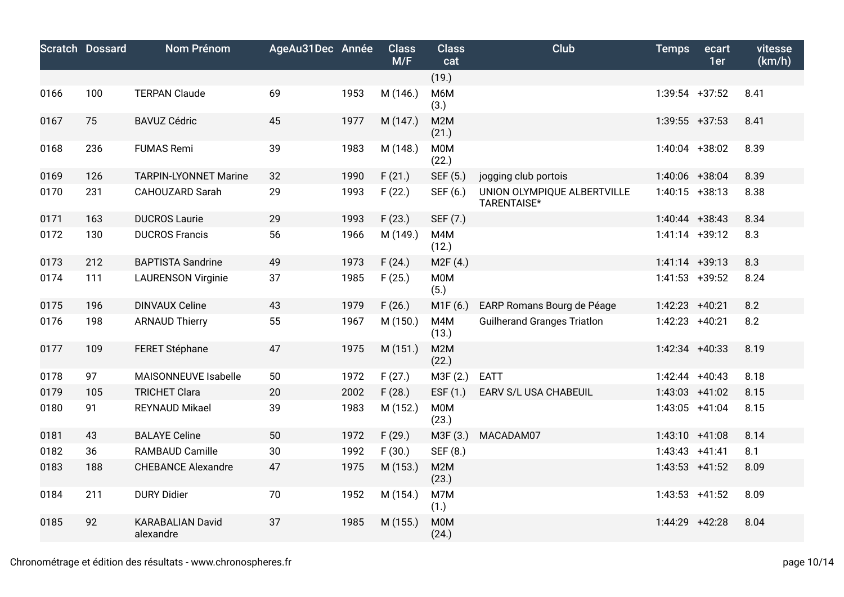|      | <b>Scratch Dossard</b> | <b>Nom Prénom</b>                    | AgeAu31Dec Année |      | <b>Class</b><br>M/F | <b>Class</b><br>cat       | Club                                       | <b>Temps</b>     | ecart<br>1er | vitesse<br>(km/h) |
|------|------------------------|--------------------------------------|------------------|------|---------------------|---------------------------|--------------------------------------------|------------------|--------------|-------------------|
|      |                        |                                      |                  |      |                     | (19.)                     |                                            |                  |              |                   |
| 0166 | 100                    | <b>TERPAN Claude</b>                 | 69               | 1953 | M (146.)            | M6M<br>(3.)               |                                            | $1:39:54$ +37:52 |              | 8.41              |
| 0167 | 75                     | <b>BAVUZ Cédric</b>                  | 45               | 1977 | M (147.)            | M <sub>2</sub> M<br>(21.) |                                            | $1:39:55$ +37:53 |              | 8.41              |
| 0168 | 236                    | <b>FUMAS Remi</b>                    | 39               | 1983 | M (148.)            | <b>MOM</b><br>(22.)       |                                            | $1:40:04$ +38:02 |              | 8.39              |
| 0169 | 126                    | <b>TARPIN-LYONNET Marine</b>         | 32               | 1990 | F(21.)              | SEF (5.)                  | jogging club portois                       | 1:40:06 +38:04   |              | 8.39              |
| 0170 | 231                    | <b>CAHOUZARD Sarah</b>               | 29               | 1993 | F(22.)              | SEF (6.)                  | UNION OLYMPIQUE ALBERTVILLE<br>TARENTAISE* | $1:40:15$ +38:13 |              | 8.38              |
| 0171 | 163                    | <b>DUCROS Laurie</b>                 | 29               | 1993 | F(23.)              | SEF (7.)                  |                                            | $1:40:44$ +38:43 |              | 8.34              |
| 0172 | 130                    | <b>DUCROS Francis</b>                | 56               | 1966 | M (149.)            | M4M<br>(12.)              |                                            | $1:41:14$ +39:12 |              | 8.3               |
| 0173 | 212                    | <b>BAPTISTA Sandrine</b>             | 49               | 1973 | F(24.)              | M2F (4.)                  |                                            | $1:41:14$ +39:13 |              | 8.3               |
| 0174 | 111                    | <b>LAURENSON Virginie</b>            | 37               | 1985 | F(25.)              | <b>MOM</b><br>(5.)        |                                            | $1:41:53$ +39:52 |              | 8.24              |
| 0175 | 196                    | <b>DINVAUX Celine</b>                | 43               | 1979 | F(26.)              | M1F(6.)                   | EARP Romans Bourg de Péage                 | $1:42:23$ +40:21 |              | 8.2               |
| 0176 | 198                    | <b>ARNAUD Thierry</b>                | 55               | 1967 | M (150.)            | M4M<br>(13.)              | <b>Guilherand Granges Triatlon</b>         | 1:42:23 +40:21   |              | 8.2               |
| 0177 | 109                    | FERET Stéphane                       | 47               | 1975 | M (151.)            | M2M<br>(22.)              |                                            | $1:42:34$ +40:33 |              | 8.19              |
| 0178 | 97                     | MAISONNEUVE Isabelle                 | 50               | 1972 | F(27.)              | M3F (2.)                  | <b>EATT</b>                                | $1:42:44$ +40:43 |              | 8.18              |
| 0179 | 105                    | <b>TRICHET Clara</b>                 | 20               | 2002 | F(28.)              | ESF $(1.)$                | EARV S/L USA CHABEUIL                      | $1:43:03$ +41:02 |              | 8.15              |
| 0180 | 91                     | <b>REYNAUD Mikael</b>                | 39               | 1983 | M (152.)            | <b>M0M</b><br>(23.)       |                                            | $1:43:05$ +41:04 |              | 8.15              |
| 0181 | 43                     | <b>BALAYE Celine</b>                 | 50               | 1972 | F(29.)              | M3F (3.)                  | MACADAM07                                  | $1:43:10 +41:08$ |              | 8.14              |
| 0182 | 36                     | <b>RAMBAUD Camille</b>               | 30               | 1992 | F(30.)              | SEF (8.)                  |                                            | $1:43:43$ +41:41 |              | 8.1               |
| 0183 | 188                    | <b>CHEBANCE Alexandre</b>            | 47               | 1975 | M (153.)            | M <sub>2</sub> M<br>(23.) |                                            | $1:43:53$ +41:52 |              | 8.09              |
| 0184 | 211                    | <b>DURY Didier</b>                   | 70               | 1952 | M (154.)            | M7M<br>(1.)               |                                            | $1:43:53$ +41:52 |              | 8.09              |
| 0185 | 92                     | <b>KARABALIAN David</b><br>alexandre | 37               | 1985 | M (155.)            | <b>MOM</b><br>(24.)       |                                            | 1:44:29          | $+42:28$     | 8.04              |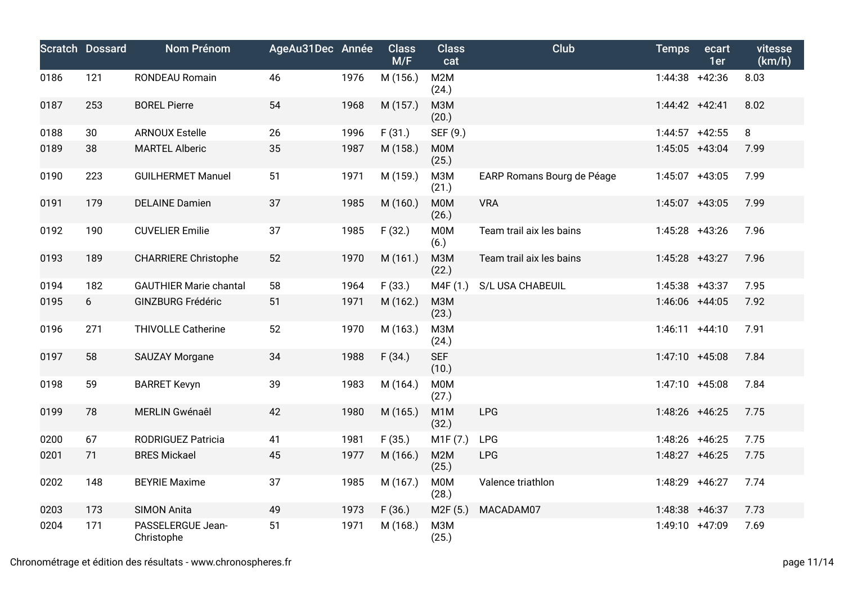|      | <b>Scratch Dossard</b> | Nom Prénom                      | AgeAu31Dec Année |      | <b>Class</b><br>M/F | <b>Class</b><br>cat       | Club                       | <b>Temps</b>      | ecart<br>1er | vitesse<br>(km/h) |
|------|------------------------|---------------------------------|------------------|------|---------------------|---------------------------|----------------------------|-------------------|--------------|-------------------|
| 0186 | 121                    | RONDEAU Romain                  | 46               | 1976 | M (156.)            | M2M<br>(24.)              |                            | 1:44:38 +42:36    |              | 8.03              |
| 0187 | 253                    | <b>BOREL Pierre</b>             | 54               | 1968 | M (157.)            | <b>M3M</b><br>(20.)       |                            | $1:44:42 +42:41$  |              | 8.02              |
| 0188 | 30                     | <b>ARNOUX Estelle</b>           | 26               | 1996 | F(31.)              | SEF (9.)                  |                            | $1:44:57$ +42:55  |              | 8                 |
| 0189 | 38                     | <b>MARTEL Alberic</b>           | 35               | 1987 | M (158.)            | M0M<br>(25.)              |                            | 1:45:05 +43:04    |              | 7.99              |
| 0190 | 223                    | <b>GUILHERMET Manuel</b>        | 51               | 1971 | M (159.)            | <b>МЗМ</b><br>(21.)       | EARP Romans Bourg de Péage | 1:45:07 +43:05    |              | 7.99              |
| 0191 | 179                    | <b>DELAINE Damien</b>           | 37               | 1985 | M (160.)            | <b>MOM</b><br>(26.)       | <b>VRA</b>                 | 1:45:07 +43:05    |              | 7.99              |
| 0192 | 190                    | <b>CUVELIER Emilie</b>          | 37               | 1985 | F(32.)              | M0M<br>(6.)               | Team trail aix les bains   | 1:45:28 +43:26    |              | 7.96              |
| 0193 | 189                    | <b>CHARRIERE Christophe</b>     | 52               | 1970 | M (161.)            | <b>M3M</b><br>(22.)       | Team trail aix les bains   | 1:45:28 +43:27    |              | 7.96              |
| 0194 | 182                    | <b>GAUTHIER Marie chantal</b>   | 58               | 1964 | F(33.)              | M4F (1.)                  | S/L USA CHABEUIL           | $1:45:38$ +43:37  |              | 7.95              |
| 0195 | 6                      | <b>GINZBURG Frédéric</b>        | 51               | 1971 | M (162.)            | <b>M3M</b><br>(23.)       |                            | 1:46:06 +44:05    |              | 7.92              |
| 0196 | 271                    | <b>THIVOLLE Catherine</b>       | 52               | 1970 | M (163.)            | <b>МЗМ</b><br>(24.)       |                            | $1:46:11 +44:10$  |              | 7.91              |
| 0197 | 58                     | <b>SAUZAY Morgane</b>           | 34               | 1988 | F(34.)              | <b>SEF</b><br>(10.)       |                            | $1:47:10 + 45:08$ |              | 7.84              |
| 0198 | 59                     | <b>BARRET Kevyn</b>             | 39               | 1983 | M (164.)            | <b>M0M</b><br>(27.)       |                            | $1:47:10 + 45:08$ |              | 7.84              |
| 0199 | 78                     | MERLIN Gwénaêl                  | 42               | 1980 | M (165.)            | M <sub>1</sub> M<br>(32.) | <b>LPG</b>                 | 1:48:26 +46:25    |              | 7.75              |
| 0200 | 67                     | <b>RODRIGUEZ Patricia</b>       | 41               | 1981 | F(35.)              | M1F(7.)                   | <b>LPG</b>                 | 1:48:26 +46:25    |              | 7.75              |
| 0201 | 71                     | <b>BRES Mickael</b>             | 45               | 1977 | M (166.)            | M2M<br>(25.)              | <b>LPG</b>                 | 1:48:27 +46:25    |              | 7.75              |
| 0202 | 148                    | <b>BEYRIE Maxime</b>            | 37               | 1985 | M (167.)            | M0M<br>(28.)              | Valence triathlon          | 1:48:29 +46:27    |              | 7.74              |
| 0203 | 173                    | <b>SIMON Anita</b>              | 49               | 1973 | F(36.)              | M2F (5.)                  | MACADAM07                  | 1:48:38 +46:37    |              | 7.73              |
| 0204 | 171                    | PASSELERGUE Jean-<br>Christophe | 51               | 1971 | M (168.)            | <b>МЗМ</b><br>(25.)       |                            | 1:49:10 +47:09    |              | 7.69              |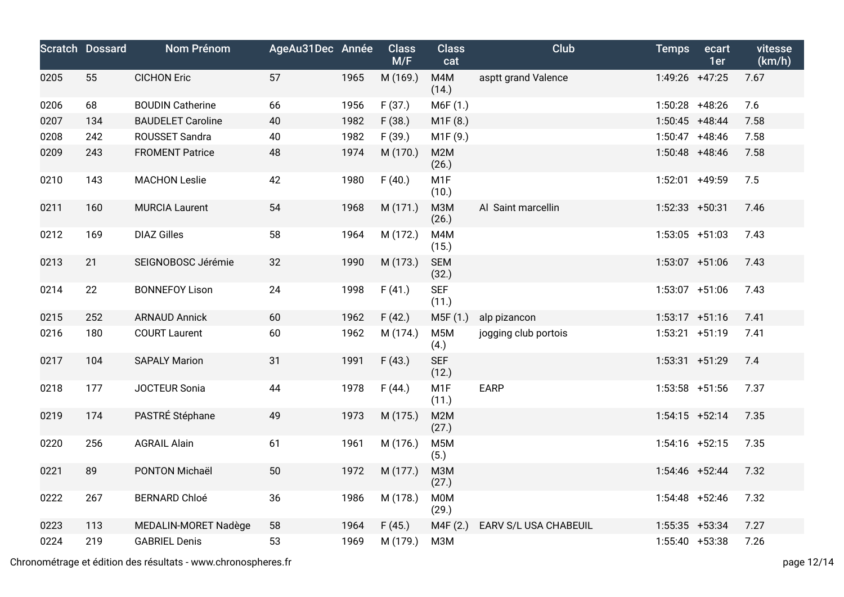|      | <b>Scratch Dossard</b> | <b>Nom Prénom</b>        | AgeAu31Dec Année |      | <b>Class</b><br>M/F | <b>Class</b><br>cat       | Club                  | <b>Temps</b>     | ecart<br>1er | vitesse<br>(km/h) |
|------|------------------------|--------------------------|------------------|------|---------------------|---------------------------|-----------------------|------------------|--------------|-------------------|
| 0205 | 55                     | <b>CICHON Eric</b>       | 57               | 1965 | M (169.)            | M4M<br>(14.)              | asptt grand Valence   | 1:49:26 +47:25   |              | 7.67              |
| 0206 | 68                     | <b>BOUDIN Catherine</b>  | 66               | 1956 | F(37.)              | M6F (1.)                  |                       | $1:50:28$ +48:26 |              | 7.6               |
| 0207 | 134                    | <b>BAUDELET Caroline</b> | 40               | 1982 | F(38.)              | M1F(8.)                   |                       | $1:50:45$ +48:44 |              | 7.58              |
| 0208 | 242                    | ROUSSET Sandra           | 40               | 1982 | F(39.)              | M1F (9.)                  |                       | $1:50:47$ +48:46 |              | 7.58              |
| 0209 | 243                    | <b>FROMENT Patrice</b>   | 48               | 1974 | M (170.)            | M <sub>2</sub> M<br>(26.) |                       | $1:50:48$ +48:46 |              | 7.58              |
| 0210 | 143                    | <b>MACHON Leslie</b>     | 42               | 1980 | F(40.)              | M <sub>1</sub> F<br>(10.) |                       | 1:52:01          | $+49:59$     | 7.5               |
| 0211 | 160                    | <b>MURCIA Laurent</b>    | 54               | 1968 | M (171.)            | <b>МЗМ</b><br>(26.)       | Al Saint marcellin    | 1:52:33          | $+50:31$     | 7.46              |
| 0212 | 169                    | <b>DIAZ Gilles</b>       | 58               | 1964 | M (172.)            | M4M<br>(15.)              |                       | $1:53:05$ +51:03 |              | 7.43              |
| 0213 | 21                     | SEIGNOBOSC Jérémie       | 32               | 1990 | M (173.)            | <b>SEM</b><br>(32.)       |                       | $1:53:07$ +51:06 |              | 7.43              |
| 0214 | 22                     | <b>BONNEFOY Lison</b>    | 24               | 1998 | F(41.)              | <b>SEF</b><br>(11.)       |                       | $1:53:07$ +51:06 |              | 7.43              |
| 0215 | 252                    | <b>ARNAUD Annick</b>     | 60               | 1962 | F(42.)              | M5F (1.)                  | alp pizancon          | $1:53:17 +51:16$ |              | 7.41              |
| 0216 | 180                    | <b>COURT Laurent</b>     | 60               | 1962 | M (174.)            | M <sub>5</sub> M<br>(4.)  | jogging club portois  | $1:53:21$ +51:19 |              | 7.41              |
| 0217 | 104                    | <b>SAPALY Marion</b>     | 31               | 1991 | F(43.)              | <b>SEF</b><br>(12.)       |                       | $1:53:31 +51:29$ |              | 7.4               |
| 0218 | 177                    | JOCTEUR Sonia            | 44               | 1978 | F(44.)              | M <sub>1</sub> F<br>(11.) | <b>EARP</b>           | $1:53:58$ +51:56 |              | 7.37              |
| 0219 | 174                    | PASTRÉ Stéphane          | 49               | 1973 | M (175.)            | M <sub>2</sub> M<br>(27.) |                       | $1:54:15$ +52:14 |              | 7.35              |
| 0220 | 256                    | <b>AGRAIL Alain</b>      | 61               | 1961 | M (176.)            | M <sub>5</sub> M<br>(5.)  |                       | $1:54:16$ +52:15 |              | 7.35              |
| 0221 | 89                     | PONTON Michaël           | 50               | 1972 | M (177.)            | <b>МЗМ</b><br>(27.)       |                       | 1:54:46 +52:44   |              | 7.32              |
| 0222 | 267                    | <b>BERNARD Chloé</b>     | 36               | 1986 | M (178.)            | <b>MOM</b><br>(29.)       |                       | $1:54:48$ +52:46 |              | 7.32              |
| 0223 | 113                    | MEDALIN-MORET Nadège     | 58               | 1964 | F(45.)              | M4F (2.)                  | EARV S/L USA CHABEUIL | $1:55:35$ +53:34 |              | 7.27              |
| 0224 | 219                    | <b>GABRIEL Denis</b>     | 53               | 1969 | M (179.)            | M3M                       |                       | $1:55:40$ +53:38 |              | 7.26              |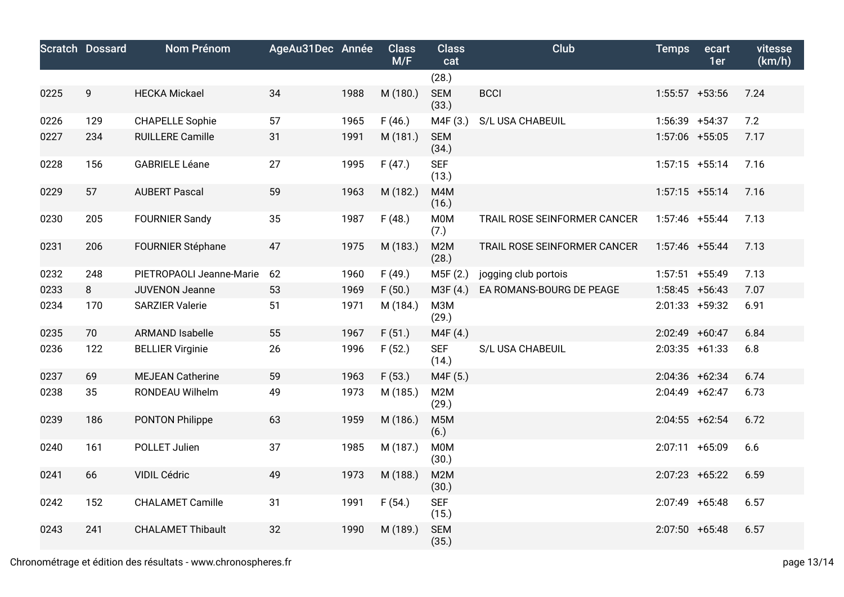|      | <b>Scratch Dossard</b> | <b>Nom Prénom</b>        | AgeAu31Dec Année |      | <b>Class</b><br>M/F | <b>Class</b><br>cat       | Club                         | <b>Temps</b>     | ecart<br>1er | vitesse<br>(km/h) |
|------|------------------------|--------------------------|------------------|------|---------------------|---------------------------|------------------------------|------------------|--------------|-------------------|
|      |                        |                          |                  |      |                     | (28.)                     |                              |                  |              |                   |
| 0225 | 9                      | <b>HECKA Mickael</b>     | 34               | 1988 | M (180.)            | <b>SEM</b><br>(33.)       | <b>BCCI</b>                  | $1:55:57$ +53:56 |              | 7.24              |
| 0226 | 129                    | <b>CHAPELLE Sophie</b>   | 57               | 1965 | F(46.)              | M4F (3.)                  | S/L USA CHABEUIL             | 1:56:39 +54:37   |              | 7.2               |
| 0227 | 234                    | <b>RUILLERE Camille</b>  | 31               | 1991 | M (181.)            | <b>SEM</b><br>(34.)       |                              | 1:57:06 +55:05   |              | 7.17              |
| 0228 | 156                    | <b>GABRIELE Léane</b>    | 27               | 1995 | F(47.)              | <b>SEF</b><br>(13.)       |                              | $1:57:15$ +55:14 |              | 7.16              |
| 0229 | 57                     | <b>AUBERT Pascal</b>     | 59               | 1963 | M (182.)            | M4M<br>(16.)              |                              | $1:57:15$ +55:14 |              | 7.16              |
| 0230 | 205                    | <b>FOURNIER Sandy</b>    | 35               | 1987 | F(48.)              | M0M<br>(7.)               | TRAIL ROSE SEINFORMER CANCER | $1:57:46$ +55:44 |              | 7.13              |
| 0231 | 206                    | <b>FOURNIER Stéphane</b> | 47               | 1975 | M (183.)            | M2M<br>(28.)              | TRAIL ROSE SEINFORMER CANCER | 1:57:46 +55:44   |              | 7.13              |
| 0232 | 248                    | PIETROPAOLI Jeanne-Marie | 62               | 1960 | F(49.)              | M5F (2.)                  | jogging club portois         | $1:57:51$ +55:49 |              | 7.13              |
| 0233 | 8                      | <b>JUVENON Jeanne</b>    | 53               | 1969 | F(50.)              | M3F (4.)                  | EA ROMANS-BOURG DE PEAGE     | $1:58:45$ +56:43 |              | 7.07              |
| 0234 | 170                    | <b>SARZIER Valerie</b>   | 51               | 1971 | M (184.)            | M3M<br>(29.)              |                              | $2:01:33$ +59:32 |              | 6.91              |
| 0235 | 70                     | <b>ARMAND Isabelle</b>   | 55               | 1967 | F(51.)              | M4F (4.)                  |                              | 2:02:49 +60:47   |              | 6.84              |
| 0236 | 122                    | <b>BELLIER Virginie</b>  | 26               | 1996 | F(52.)              | <b>SEF</b><br>(14.)       | S/L USA CHABEUIL             | $2:03:35$ +61:33 |              | 6.8               |
| 0237 | 69                     | <b>MEJEAN Catherine</b>  | 59               | 1963 | F(53.)              | M4F (5.)                  |                              | 2:04:36 +62:34   |              | 6.74              |
| 0238 | 35                     | RONDEAU Wilhelm          | 49               | 1973 | M (185.)            | M2M<br>(29.)              |                              | 2:04:49 +62:47   |              | 6.73              |
| 0239 | 186                    | <b>PONTON Philippe</b>   | 63               | 1959 | M (186.)            | M <sub>5</sub> M<br>(6.)  |                              | $2:04:55$ +62:54 |              | 6.72              |
| 0240 | 161                    | POLLET Julien            | 37               | 1985 | M (187.)            | M0M<br>(30.)              |                              | 2:07:11 +65:09   |              | 6.6               |
| 0241 | 66                     | VIDIL Cédric             | 49               | 1973 | M (188.)            | M <sub>2</sub> M<br>(30.) |                              | $2:07:23$ +65:22 |              | 6.59              |
| 0242 | 152                    | <b>CHALAMET Camille</b>  | 31               | 1991 | F(54.)              | <b>SEF</b><br>(15.)       |                              | 2:07:49 +65:48   |              | 6.57              |
| 0243 | 241                    | <b>CHALAMET Thibault</b> | 32               | 1990 | M (189.)            | <b>SEM</b><br>(35.)       |                              | $2:07:50$ +65:48 |              | 6.57              |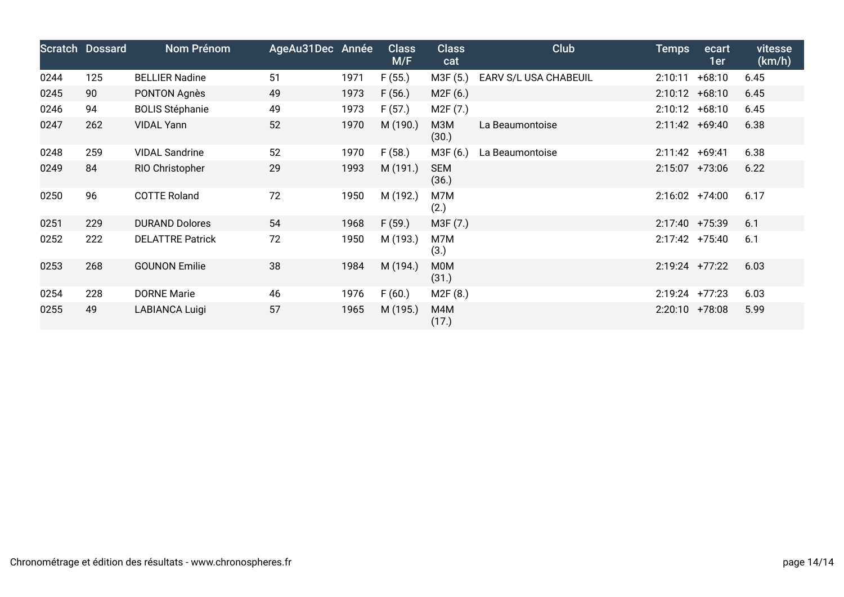|      | <b>Scratch Dossard</b> | Nom Prénom              | AgeAu31Dec Année |      | <b>Class</b><br>M/F | <b>Class</b><br>cat   | <b>Club</b>           | <b>Temps</b>     | ecart<br>1er | vitesse<br>(km/h) |
|------|------------------------|-------------------------|------------------|------|---------------------|-----------------------|-----------------------|------------------|--------------|-------------------|
| 0244 | 125                    | <b>BELLIER Nadine</b>   | 51               | 1971 | F(55.)              | M3F (5.)              | EARV S/L USA CHABEUIL | 2:10:11          | $+68:10$     | 6.45              |
| 0245 | 90                     | PONTON Agnès            | 49               | 1973 | F(56.)              | M2F(6.)               |                       | $2:10:12 +68:10$ |              | 6.45              |
| 0246 | 94                     | <b>BOLIS Stéphanie</b>  | 49               | 1973 | F(57.)              | M <sub>2</sub> F (7.) |                       | $2:10:12 +68:10$ |              | 6.45              |
| 0247 | 262                    | <b>VIDAL Yann</b>       | 52               | 1970 | M (190.)            | МЗМ<br>(30.)          | La Beaumontoise       | $2:11:42 +69:40$ |              | 6.38              |
| 0248 | 259                    | <b>VIDAL Sandrine</b>   | 52               | 1970 | F(58.)              | M3F (6.)              | La Beaumontoise       | 2:11:42 +69:41   |              | 6.38              |
| 0249 | 84                     | RIO Christopher         | 29               | 1993 | M (191.)            | <b>SEM</b><br>(36.)   |                       | $2:15:07$ +73:06 |              | 6.22              |
| 0250 | 96                     | <b>COTTE Roland</b>     | 72               | 1950 | M (192.)            | M7M<br>(2.)           |                       | $2:16:02$ +74:00 |              | 6.17              |
| 0251 | 229                    | <b>DURAND Dolores</b>   | 54               | 1968 | F(59.)              | M3F (7.)              |                       | 2:17:40 +75:39   |              | 6.1               |
| 0252 | 222                    | <b>DELATTRE Patrick</b> | 72               | 1950 | M (193.)            | M7M<br>(3.)           |                       | $2:17:42$ +75:40 |              | 6.1               |
| 0253 | 268                    | <b>GOUNON Emilie</b>    | 38               | 1984 | M (194.)            | M0M<br>(31.)          |                       | $2:19:24$ +77:22 |              | 6.03              |
| 0254 | 228                    | <b>DORNE Marie</b>      | 46               | 1976 | F(60.)              | M <sub>2</sub> F (8.) |                       | $2:19:24$ +77:23 |              | 6.03              |
| 0255 | 49                     | LABIANCA Luigi          | 57               | 1965 | M (195.)            | M4M<br>(17.)          |                       | $2:20:10$ +78:08 |              | 5.99              |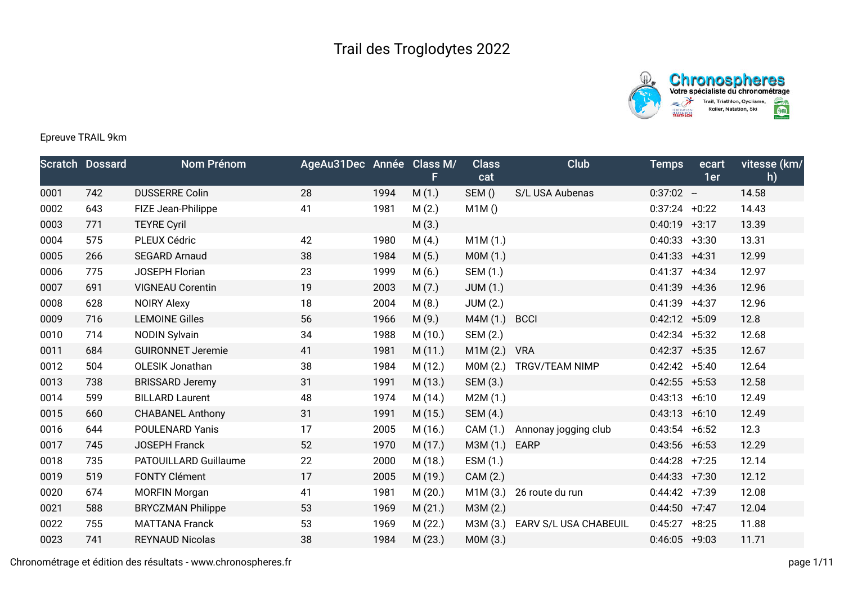



## Epreuve TRAIL 9km

|      | <b>Scratch Dossard</b> | Nom Prénom               | AgeAu31Dec Année Class M/ |      | F.      | <b>Class</b><br>cat | Club                  | <b>Temps</b>     | ecart<br>1er | vitesse (km/<br>h) |
|------|------------------------|--------------------------|---------------------------|------|---------|---------------------|-----------------------|------------------|--------------|--------------------|
| 0001 | 742                    | <b>DUSSERRE Colin</b>    | 28                        | 1994 | M(1.)   | SEM()               | S/L USA Aubenas       | $0:37:02 -$      |              | 14.58              |
| 0002 | 643                    | FIZE Jean-Philippe       | 41                        | 1981 | M(2.)   | M1M()               |                       | $0:37:24 +0:22$  |              | 14.43              |
| 0003 | 771                    | <b>TEYRE Cyril</b>       |                           |      | M(3.)   |                     |                       | $0:40:19$ +3:17  |              | 13.39              |
| 0004 | 575                    | PLEUX Cédric             | 42                        | 1980 | M(4.)   | M1M(1.)             |                       | $0:40:33 + 3:30$ |              | 13.31              |
| 0005 | 266                    | <b>SEGARD Arnaud</b>     | 38                        | 1984 | M(5.)   | MOM(1.)             |                       | $0:41:33 +4:31$  |              | 12.99              |
| 0006 | 775                    | <b>JOSEPH Florian</b>    | 23                        | 1999 | M(6.)   | SEM (1.)            |                       | $0:41:37 +4:34$  |              | 12.97              |
| 0007 | 691                    | <b>VIGNEAU Corentin</b>  | 19                        | 2003 | M(7.)   | <b>JUM (1.)</b>     |                       | $0:41:39$ +4:36  |              | 12.96              |
| 0008 | 628                    | <b>NOIRY Alexy</b>       | 18                        | 2004 | M(8.)   | <b>JUM (2.)</b>     |                       | $0:41:39$ +4:37  |              | 12.96              |
| 0009 | 716                    | <b>LEMOINE Gilles</b>    | 56                        | 1966 | M(9.)   | M4M (1.)            | <b>BCCI</b>           | $0:42:12 + 5:09$ |              | 12.8               |
| 0010 | 714                    | <b>NODIN Sylvain</b>     | 34                        | 1988 | M(10.)  | SEM (2.)            |                       | $0:42:34$ +5:32  |              | 12.68              |
| 0011 | 684                    | <b>GUIRONNET Jeremie</b> | 41                        | 1981 | M(11.)  | M1M(2.)             | <b>VRA</b>            | $0:42:37 +5:35$  |              | 12.67              |
| 0012 | 504                    | OLESIK Jonathan          | 38                        | 1984 | M(12.)  | MOM(2.)             | TRGV/TEAM NIMP        | $0:42:42$ +5:40  |              | 12.64              |
| 0013 | 738                    | <b>BRISSARD Jeremy</b>   | 31                        | 1991 | M (13.) | SEM (3.)            |                       | $0:42:55$ +5:53  |              | 12.58              |
| 0014 | 599                    | <b>BILLARD Laurent</b>   | 48                        | 1974 | M (14.) | M2M(1.)             |                       | $0:43:13 +6:10$  |              | 12.49              |
| 0015 | 660                    | <b>CHABANEL Anthony</b>  | 31                        | 1991 | M(15.)  | SEM (4.)            |                       | $0:43:13 + 6:10$ |              | 12.49              |
| 0016 | 644                    | <b>POULENARD Yanis</b>   | 17                        | 2005 | M (16.) | CAM (1.)            | Annonay jogging club  | $0:43:54$ +6:52  |              | 12.3               |
| 0017 | 745                    | <b>JOSEPH Franck</b>     | 52                        | 1970 | M(17.)  | M3M (1.)            | <b>EARP</b>           | $0:43:56$ +6:53  |              | 12.29              |
| 0018 | 735                    | PATOUILLARD Guillaume    | 22                        | 2000 | M (18.) | ESM (1.)            |                       | $0:44:28$ +7:25  |              | 12.14              |
| 0019 | 519                    | <b>FONTY Clément</b>     | 17                        | 2005 | M (19.) | CAM (2.)            |                       | $0:44:33 +7:30$  |              | 12.12              |
| 0020 | 674                    | <b>MORFIN Morgan</b>     | 41                        | 1981 | M(20.)  | M1M(3.)             | 26 route du run       | $0:44:42$ +7:39  |              | 12.08              |
| 0021 | 588                    | <b>BRYCZMAN Philippe</b> | 53                        | 1969 | M(21.)  | M3M (2.)            |                       | $0:44:50$ +7:47  |              | 12.04              |
| 0022 | 755                    | <b>MATTANA Franck</b>    | 53                        | 1969 | M (22.) | M3M (3.)            | EARV S/L USA CHABEUIL | $0:45:27 + 8:25$ |              | 11.88              |
| 0023 | 741                    | <b>REYNAUD Nicolas</b>   | 38                        | 1984 | M(23.)  | M0M (3.)            |                       | $0:46:05$ +9:03  |              | 11.71              |

Chronométrage et édition des résultats - www.chronospheres.fr page 1/11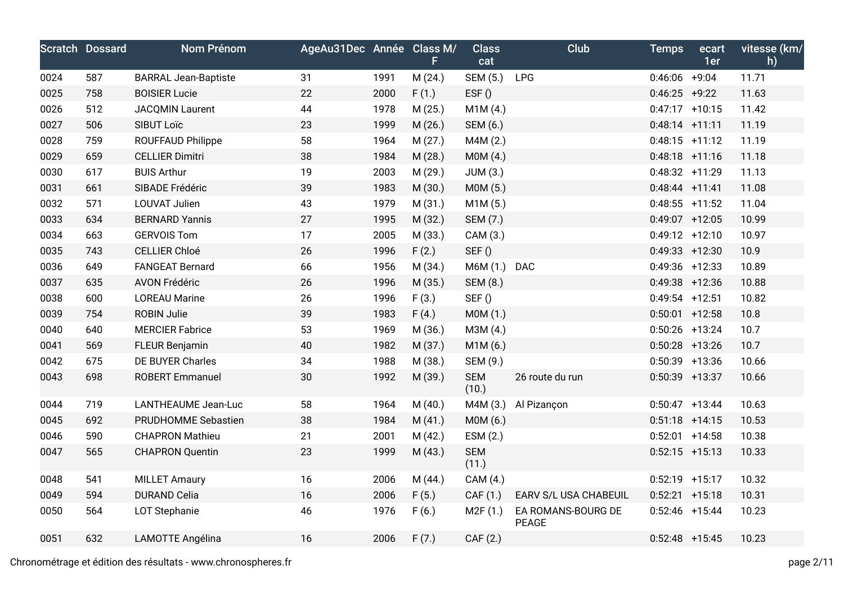|      | <b>Scratch Dossard</b> | Nom Prénom                  | AgeAu31Dec Année Class M/ |      | F       | <b>Class</b><br>cat | Club                        | <b>Temps</b>      | ecart<br>1er | vitesse (km/<br>h) |
|------|------------------------|-----------------------------|---------------------------|------|---------|---------------------|-----------------------------|-------------------|--------------|--------------------|
| 0024 | 587                    | <b>BARRAL Jean-Baptiste</b> | 31                        | 1991 | M(24.)  | SEM (5.)            | LPG                         | $0:46:06$ +9:04   |              | 11.71              |
| 0025 | 758                    | <b>BOISIER Lucie</b>        | 22                        | 2000 | F(1.)   | EST()               |                             | $0:46:25$ +9:22   |              | 11.63              |
| 0026 | 512                    | <b>JACQMIN Laurent</b>      | 44                        | 1978 | M (25.) | M1M(4.)             |                             | $0:47:17$ +10:15  |              | 11.42              |
| 0027 | 506                    | SIBUT Loïc                  | 23                        | 1999 | M (26.) | SEM (6.)            |                             | $0:48:14$ +11:11  |              | 11.19              |
| 0028 | 759                    | <b>ROUFFAUD Philippe</b>    | 58                        | 1964 | M(27.)  | M4M (2.)            |                             | $0:48:15$ +11:12  |              | 11.19              |
| 0029 | 659                    | <b>CELLIER Dimitri</b>      | 38                        | 1984 | M (28.) | MOM(4.)             |                             | $0:48:18$ +11:16  |              | 11.18              |
| 0030 | 617                    | <b>BUIS Arthur</b>          | 19                        | 2003 | M (29.) | JUM(3.)             |                             | $0:48:32 +11:29$  |              | 11.13              |
| 0031 | 661                    | SIBADE Frédéric             | 39                        | 1983 | M (30.) | MOM(5.)             |                             | $0:48:44$ +11:41  |              | 11.08              |
| 0032 | 571                    | <b>LOUVAT Julien</b>        | 43                        | 1979 | M(31.)  | M1M(5.)             |                             | $0:48:55$ +11:52  |              | 11.04              |
| 0033 | 634                    | <b>BERNARD Yannis</b>       | 27                        | 1995 | M (32.) | SEM (7.)            |                             | $0:49:07$ +12:05  |              | 10.99              |
| 0034 | 663                    | <b>GERVOIS Tom</b>          | 17                        | 2005 | M (33.) | CAM (3.)            |                             | $0:49:12 +12:10$  |              | 10.97              |
| 0035 | 743                    | <b>CELLIER Chloé</b>        | 26                        | 1996 | F(2.)   | SEF()               |                             | $0:49:33 + 12:30$ |              | 10.9               |
| 0036 | 649                    | <b>FANGEAT Bernard</b>      | 66                        | 1956 | M(34.)  | M6M (1.) DAC        |                             | $0:49:36$ +12:33  |              | 10.89              |
| 0037 | 635                    | <b>AVON Frédéric</b>        | 26                        | 1996 | M (35.) | SEM (8.)            |                             | $0:49:38$ +12:36  |              | 10.88              |
| 0038 | 600                    | <b>LOREAU Marine</b>        | 26                        | 1996 | F(3.)   | SEF()               |                             | $0:49:54$ +12:51  |              | 10.82              |
| 0039 | 754                    | <b>ROBIN Julie</b>          | 39                        | 1983 | F(4.)   | MOM(1.)             |                             | $0:50:01$ +12:58  |              | 10.8               |
| 0040 | 640                    | <b>MERCIER Fabrice</b>      | 53                        | 1969 | M (36.) | M3M (4.)            |                             | $0:50:26$ +13:24  |              | 10.7               |
| 0041 | 569                    | <b>FLEUR Benjamin</b>       | 40                        | 1982 | M (37.) | M1M(6.)             |                             | $0:50:28$ +13:26  |              | 10.7               |
| 0042 | 675                    | DE BUYER Charles            | 34                        | 1988 | M (38.) | SEM (9.)            |                             | $0:50:39$ +13:36  |              | 10.66              |
| 0043 | 698                    | <b>ROBERT Emmanuel</b>      | 30                        | 1992 | M (39.) | <b>SEM</b><br>(10.) | 26 route du run             | $0:50:39$ +13:37  |              | 10.66              |
| 0044 | 719                    | LANTHEAUME Jean-Luc         | 58                        | 1964 | M(40.)  | M4M (3.)            | Al Pizançon                 | $0:50:47$ +13:44  |              | 10.63              |
| 0045 | 692                    | PRUDHOMME Sebastien         | 38                        | 1984 | M(41.)  | M0M (6.)            |                             | $0:51:18$ +14:15  |              | 10.53              |
| 0046 | 590                    | <b>CHAPRON Mathieu</b>      | 21                        | 2001 | M(42.)  | ESM (2.)            |                             | $0:52:01$ +14:58  |              | 10.38              |
| 0047 | 565                    | <b>CHAPRON Quentin</b>      | 23                        | 1999 | M (43.) | <b>SEM</b><br>(11.) |                             | $0:52:15$ +15:13  |              | 10.33              |
| 0048 | 541                    | <b>MILLET Amaury</b>        | 16                        | 2006 | M (44.) | CAM (4.)            |                             | $0:52:19$ +15:17  |              | 10.32              |
| 0049 | 594                    | <b>DURAND Celia</b>         | 16                        | 2006 | F(5.)   | CAF (1.)            | EARV S/L USA CHABEUIL       | $0:52:21$ +15:18  |              | 10.31              |
| 0050 | 564                    | LOT Stephanie               | 46                        | 1976 | F(6.)   | M2F(1.)             | EA ROMANS-BOURG DE<br>PEAGE | $0:52:46$ +15:44  |              | 10.23              |
| 0051 | 632                    | LAMOTTE Angélina            | 16                        | 2006 | F(7.)   | CAF (2.)            |                             | $0:52:48$ +15:45  |              | 10.23              |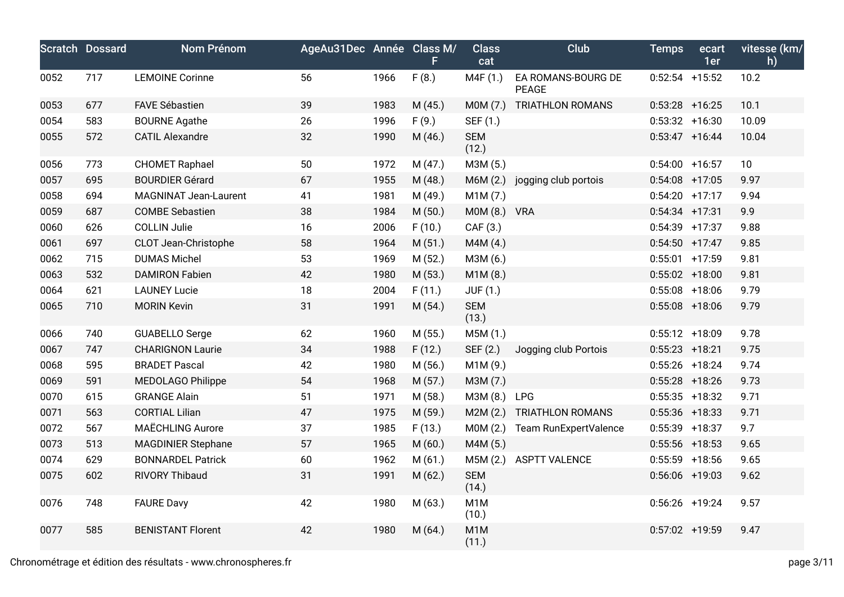|      | <b>Scratch Dossard</b> | Nom Prénom                   | AgeAu31Dec Année Class M/ |      | F.      | <b>Class</b><br>cat       | <b>Club</b>                        | <b>Temps</b>      | ecart<br>1er | vitesse (km/<br>h) |
|------|------------------------|------------------------------|---------------------------|------|---------|---------------------------|------------------------------------|-------------------|--------------|--------------------|
| 0052 | 717                    | <b>LEMOINE Corinne</b>       | 56                        | 1966 | F(8.)   | M4F (1.)                  | EA ROMANS-BOURG DE<br><b>PEAGE</b> | $0:52:54$ +15:52  |              | 10.2               |
| 0053 | 677                    | <b>FAVE Sébastien</b>        | 39                        | 1983 | M (45.) | MOM(7.)                   | TRIATHLON ROMANS                   | $0:53:28$ +16:25  |              | 10.1               |
| 0054 | 583                    | <b>BOURNE Agathe</b>         | 26                        | 1996 | F(9.)   | SEF (1.)                  |                                    | $0:53:32 + 16:30$ |              | 10.09              |
| 0055 | 572                    | <b>CATIL Alexandre</b>       | 32                        | 1990 | M (46.) | <b>SEM</b><br>(12.)       |                                    | $0:53:47$ +16:44  |              | 10.04              |
| 0056 | 773                    | <b>CHOMET Raphael</b>        | 50                        | 1972 | M (47.) | M3M (5.)                  |                                    | $0:54:00$ +16:57  |              | 10 <sup>°</sup>    |
| 0057 | 695                    | <b>BOURDIER Gérard</b>       | 67                        | 1955 | M (48.) | M6M (2.)                  | jogging club portois               | $0:54:08$ +17:05  |              | 9.97               |
| 0058 | 694                    | <b>MAGNINAT Jean-Laurent</b> | 41                        | 1981 | M (49.) | M1M(7.)                   |                                    | $0:54:20$ +17:17  |              | 9.94               |
| 0059 | 687                    | <b>COMBE Sebastien</b>       | 38                        | 1984 | M(50.)  | M0M (8.) VRA              |                                    | $0:54:34$ +17:31  |              | 9.9                |
| 0060 | 626                    | <b>COLLIN Julie</b>          | 16                        | 2006 | F(10.)  | CAF (3.)                  |                                    | $0:54:39$ +17:37  |              | 9.88               |
| 0061 | 697                    | CLOT Jean-Christophe         | 58                        | 1964 | M(51.)  | M4M (4.)                  |                                    | $0:54:50$ +17:47  |              | 9.85               |
| 0062 | 715                    | <b>DUMAS Michel</b>          | 53                        | 1969 | M (52.) | M3M (6.)                  |                                    | $0:55:01$ +17:59  |              | 9.81               |
| 0063 | 532                    | <b>DAMIRON Fabien</b>        | 42                        | 1980 | M (53.) | M1M(8.)                   |                                    | $0:55:02$ +18:00  |              | 9.81               |
| 0064 | 621                    | <b>LAUNEY Lucie</b>          | 18                        | 2004 | F(11.)  | JUF (1.)                  |                                    | $0:55:08$ +18:06  |              | 9.79               |
| 0065 | 710                    | <b>MORIN Kevin</b>           | 31                        | 1991 | M (54.) | <b>SEM</b><br>(13.)       |                                    | $0:55:08$ +18:06  |              | 9.79               |
| 0066 | 740                    | <b>GUABELLO Serge</b>        | 62                        | 1960 | M (55.) | M5M (1.)                  |                                    | $0:55:12$ +18:09  |              | 9.78               |
| 0067 | 747                    | <b>CHARIGNON Laurie</b>      | 34                        | 1988 | F(12.)  | SEF (2.)                  | Jogging club Portois               | $0:55:23$ +18:21  |              | 9.75               |
| 0068 | 595                    | <b>BRADET Pascal</b>         | 42                        | 1980 | M (56.) | M1M (9.)                  |                                    | $0:55:26$ +18:24  |              | 9.74               |
| 0069 | 591                    | <b>MEDOLAGO Philippe</b>     | 54                        | 1968 | M (57.) | M3M (7.)                  |                                    | $0:55:28$ +18:26  |              | 9.73               |
| 0070 | 615                    | <b>GRANGE Alain</b>          | 51                        | 1971 | M (58.) | M3M (8.)                  | <b>LPG</b>                         | $0:55:35$ +18:32  |              | 9.71               |
| 0071 | 563                    | <b>CORTIAL Lilian</b>        | 47                        | 1975 | M (59.) | M2M(2.)                   | TRIATHLON ROMANS                   | $0:55:36$ +18:33  |              | 9.71               |
| 0072 | 567                    | <b>MAËCHLING Aurore</b>      | 37                        | 1985 | F(13.)  | MOM(2.)                   | Team RunExpertValence              | $0:55:39$ +18:37  |              | 9.7                |
| 0073 | 513                    | <b>MAGDINIER Stephane</b>    | 57                        | 1965 | M(60.)  | M4M (5.)                  |                                    | $0:55:56$ +18:53  |              | 9.65               |
| 0074 | 629                    | <b>BONNARDEL Patrick</b>     | 60                        | 1962 | M(61.)  | M5M (2.)                  | <b>ASPTT VALENCE</b>               | $0:55:59$ +18:56  |              | 9.65               |
| 0075 | 602                    | RIVORY Thibaud               | 31                        | 1991 | M(62.)  | <b>SEM</b><br>(14.)       |                                    | $0:56:06$ +19:03  |              | 9.62               |
| 0076 | 748                    | <b>FAURE Davy</b>            | 42                        | 1980 | M (63.) | M <sub>1</sub> M<br>(10.) |                                    | $0:56:26$ +19:24  |              | 9.57               |
| 0077 | 585                    | <b>BENISTANT Florent</b>     | 42                        | 1980 | M(64.)  | M1M<br>(11.)              |                                    | $0:57:02$ +19:59  |              | 9.47               |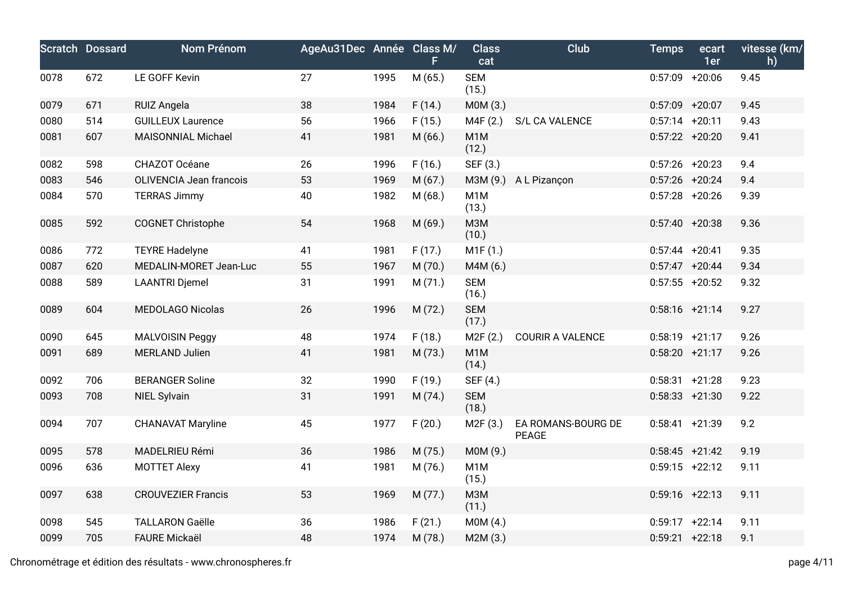|      | <b>Scratch Dossard</b> | <b>Nom Prénom</b>         | AgeAu31Dec Année Class M/ |      | F       | <b>Class</b><br>cat       | Club                               | <b>Temps</b>      | ecart<br>1er | vitesse (km/<br>h) |
|------|------------------------|---------------------------|---------------------------|------|---------|---------------------------|------------------------------------|-------------------|--------------|--------------------|
| 0078 | 672                    | LE GOFF Kevin             | 27                        | 1995 | M (65.) | <b>SEM</b><br>(15.)       |                                    | $0:57:09$ +20:06  |              | 9.45               |
| 0079 | 671                    | <b>RUIZ Angela</b>        | 38                        | 1984 | F(14.)  | M0M (3.)                  |                                    | $0:57:09$ +20:07  |              | 9.45               |
| 0080 | 514                    | <b>GUILLEUX Laurence</b>  | 56                        | 1966 | F(15.)  | M4F(2.)                   | S/L CA VALENCE                     | $0:57:14$ +20:11  |              | 9.43               |
| 0081 | 607                    | MAISONNIAL Michael        | 41                        | 1981 | M(66.)  | M <sub>1</sub> M<br>(12.) |                                    | $0:57:22 + 20:20$ |              | 9.41               |
| 0082 | 598                    | CHAZOT Océane             | 26                        | 1996 | F(16.)  | SEF (3.)                  |                                    | $0:57:26$ +20:23  |              | 9.4                |
| 0083 | 546                    | OLIVENCIA Jean francois   | 53                        | 1969 | M(67.)  |                           | M3M (9.) A L Pizançon              | $0:57:26$ +20:24  |              | 9.4                |
| 0084 | 570                    | <b>TERRAS Jimmy</b>       | 40                        | 1982 | M(68.)  | M <sub>1</sub> M<br>(13.) |                                    | $0:57:28$ +20:26  |              | 9.39               |
| 0085 | 592                    | <b>COGNET Christophe</b>  | 54                        | 1968 | M (69.) | <b>МЗМ</b><br>(10.)       |                                    | $0:57:40 + 20:38$ |              | 9.36               |
| 0086 | 772                    | <b>TEYRE Hadelyne</b>     | 41                        | 1981 | F(17.)  | M1F(1.)                   |                                    | $0:57:44$ +20:41  |              | 9.35               |
| 0087 | 620                    | MEDALIN-MORET Jean-Luc    | 55                        | 1967 | M(70.)  | M4M (6.)                  |                                    | $0:57:47$ +20:44  |              | 9.34               |
| 0088 | 589                    | <b>LAANTRI Djemel</b>     | 31                        | 1991 | M(71.)  | <b>SEM</b><br>(16.)       |                                    | $0:57:55$ +20:52  |              | 9.32               |
| 0089 | 604                    | <b>MEDOLAGO Nicolas</b>   | 26                        | 1996 | M (72.) | <b>SEM</b><br>(17.)       |                                    | $0:58:16$ +21:14  |              | 9.27               |
| 0090 | 645                    | MALVOISIN Peggy           | 48                        | 1974 | F(18.)  | M2F(2.)                   | <b>COURIR A VALENCE</b>            | $0:58:19$ +21:17  |              | 9.26               |
| 0091 | 689                    | <b>MERLAND Julien</b>     | 41                        | 1981 | M (73.) | M <sub>1</sub> M<br>(14.) |                                    | $0:58:20 +21:17$  |              | 9.26               |
| 0092 | 706                    | <b>BERANGER Soline</b>    | 32                        | 1990 | F(19.)  | SEF (4.)                  |                                    | $0:58:31 +21:28$  |              | 9.23               |
| 0093 | 708                    | NIEL Sylvain              | 31                        | 1991 | M (74.) | <b>SEM</b><br>(18.)       |                                    | $0:58:33 + 21:30$ |              | 9.22               |
| 0094 | 707                    | <b>CHANAVAT Maryline</b>  | 45                        | 1977 | F(20.)  | M2F (3.)                  | EA ROMANS-BOURG DE<br><b>PEAGE</b> | $0:58:41 +21:39$  |              | 9.2                |
| 0095 | 578                    | MADELRIEU Rémi            | 36                        | 1986 | M (75.) | M0M (9.)                  |                                    | $0:58:45$ +21:42  |              | 9.19               |
| 0096 | 636                    | <b>MOTTET Alexy</b>       | 41                        | 1981 | M (76.) | M <sub>1</sub> M<br>(15.) |                                    | $0:59:15$ +22:12  |              | 9.11               |
| 0097 | 638                    | <b>CROUVEZIER Francis</b> | 53                        | 1969 | M (77.) | <b>МЗМ</b><br>(11.)       |                                    | $0:59:16$ +22:13  |              | 9.11               |
| 0098 | 545                    | <b>TALLARON Gaëlle</b>    | 36                        | 1986 | F(21.)  | MOM(4.)                   |                                    | $0:59:17$ +22:14  |              | 9.11               |
| 0099 | 705                    | <b>FAURE Mickaël</b>      | 48                        | 1974 | M (78.) | M2M(3.)                   |                                    | $0:59:21 +22:18$  |              | 9.1                |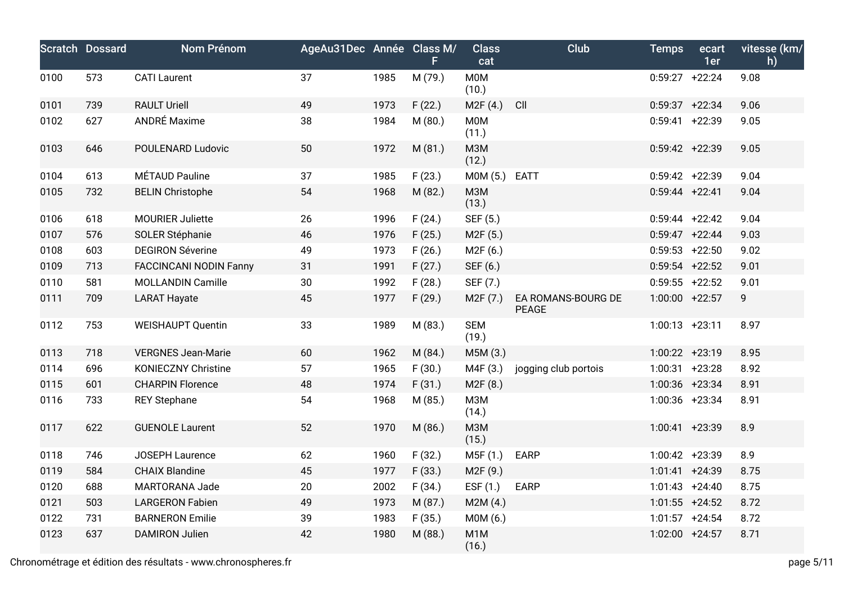|      | <b>Scratch Dossard</b> | Nom Prénom                    | AgeAu31Dec Année Class M/ |      | F.      | <b>Class</b><br>cat       | Club                               | <b>Temps</b>      | ecart<br>1er | vitesse (km/<br>h) |
|------|------------------------|-------------------------------|---------------------------|------|---------|---------------------------|------------------------------------|-------------------|--------------|--------------------|
| 0100 | 573                    | <b>CATI Laurent</b>           | 37                        | 1985 | M (79.) | <b>M0M</b><br>(10.)       |                                    | $0:59:27 +22:24$  |              | 9.08               |
| 0101 | 739                    | <b>RAULT Uriell</b>           | 49                        | 1973 | F(22.)  | M2F(4.)                   | CII                                | $0:59:37 +22:34$  |              | 9.06               |
| 0102 | 627                    | ANDRÉ Maxime                  | 38                        | 1984 | M (80.) | <b>MOM</b><br>(11.)       |                                    | $0:59:41 +22:39$  |              | 9.05               |
| 0103 | 646                    | POULENARD Ludovic             | 50                        | 1972 | M (81.) | <b>M3M</b><br>(12.)       |                                    | $0:59:42 +22:39$  |              | 9.05               |
| 0104 | 613                    | MÉTAUD Pauline                | 37                        | 1985 | F(23.)  | M0M (5.)                  | <b>EATT</b>                        | $0:59:42 +22:39$  |              | 9.04               |
| 0105 | 732                    | <b>BELIN Christophe</b>       | 54                        | 1968 | M (82.) | <b>МЗМ</b><br>(13.)       |                                    | $0:59:44$ +22:41  |              | 9.04               |
| 0106 | 618                    | <b>MOURIER Juliette</b>       | 26                        | 1996 | F(24.)  | SEF (5.)                  |                                    | $0:59:44$ +22:42  |              | 9.04               |
| 0107 | 576                    | SOLER Stéphanie               | 46                        | 1976 | F(25.)  | M2F (5.)                  |                                    | $0:59:47 +22:44$  |              | 9.03               |
| 0108 | 603                    | <b>DEGIRON Séverine</b>       | 49                        | 1973 | F(26.)  | M2F(6.)                   |                                    | $0:59:53$ +22:50  |              | 9.02               |
| 0109 | 713                    | <b>FACCINCANI NODIN Fanny</b> | 31                        | 1991 | F(27.)  | SEF (6.)                  |                                    | $0:59:54$ +22:52  |              | 9.01               |
| 0110 | 581                    | <b>MOLLANDIN Camille</b>      | 30                        | 1992 | F(28.)  | SEF (7.)                  |                                    | $0:59:55$ +22:52  |              | 9.01               |
| 0111 | 709                    | <b>LARAT Hayate</b>           | 45                        | 1977 | F(29.)  | M <sub>2</sub> F (7.)     | EA ROMANS-BOURG DE<br><b>PEAGE</b> | $1:00:00$ +22:57  |              | 9                  |
| 0112 | 753                    | <b>WEISHAUPT Quentin</b>      | 33                        | 1989 | M (83.) | <b>SEM</b><br>(19.)       |                                    | $1:00:13 + 23:11$ |              | 8.97               |
| 0113 | 718                    | <b>VERGNES Jean-Marie</b>     | 60                        | 1962 | M (84.) | M5M (3.)                  |                                    | 1:00:22 +23:19    |              | 8.95               |
| 0114 | 696                    | <b>KONIECZNY Christine</b>    | 57                        | 1965 | F(30.)  | M4F (3.)                  | jogging club portois               | $1:00:31$ +23:28  |              | 8.92               |
| 0115 | 601                    | <b>CHARPIN Florence</b>       | 48                        | 1974 | F(31.)  | M2F (8.)                  |                                    | 1:00:36 +23:34    |              | 8.91               |
| 0116 | 733                    | <b>REY Stephane</b>           | 54                        | 1968 | M (85.) | <b>МЗМ</b><br>(14.)       |                                    | 1:00:36 +23:34    |              | 8.91               |
| 0117 | 622                    | <b>GUENOLE Laurent</b>        | 52                        | 1970 | M (86.) | <b>МЗМ</b><br>(15.)       |                                    | $1:00:41$ +23:39  |              | 8.9                |
| 0118 | 746                    | JOSEPH Laurence               | 62                        | 1960 | F(32.)  | M5F (1.)                  | EARP                               | 1:00:42 +23:39    |              | 8.9                |
| 0119 | 584                    | <b>CHAIX Blandine</b>         | 45                        | 1977 | F(33.)  | M2F (9.)                  |                                    | 1:01:41 +24:39    |              | 8.75               |
| 0120 | 688                    | MARTORANA Jade                | 20                        | 2002 | F(34.)  | ESF $(1.)$                | <b>EARP</b>                        | $1:01:43 +24:40$  |              | 8.75               |
| 0121 | 503                    | <b>LARGERON Fabien</b>        | 49                        | 1973 | M (87.) | M2M(4.)                   |                                    | $1:01:55$ +24:52  |              | 8.72               |
| 0122 | 731                    | <b>BARNERON Emilie</b>        | 39                        | 1983 | F(35.)  | M0M (6.)                  |                                    | $1:01:57$ +24:54  |              | 8.72               |
| 0123 | 637                    | <b>DAMIRON Julien</b>         | 42                        | 1980 | M (88.) | M <sub>1</sub> M<br>(16.) |                                    | 1:02:00 +24:57    |              | 8.71               |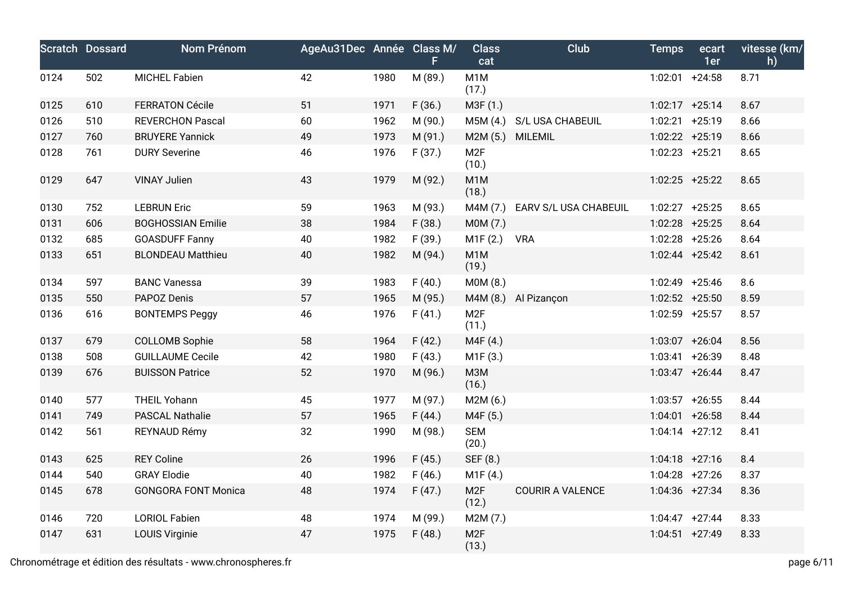|      | <b>Scratch Dossard</b> | <b>Nom Prénom</b>          | AgeAu31Dec Année Class M/ |      | F.      | <b>Class</b><br>cat       | Club                    | <b>Temps</b>      | ecart<br>1er | vitesse (km/<br>h) |
|------|------------------------|----------------------------|---------------------------|------|---------|---------------------------|-------------------------|-------------------|--------------|--------------------|
| 0124 | 502                    | <b>MICHEL Fabien</b>       | 42                        | 1980 | M (89.) | M <sub>1</sub> M<br>(17.) |                         | $1:02:01$ +24:58  |              | 8.71               |
| 0125 | 610                    | <b>FERRATON Cécile</b>     | 51                        | 1971 | F(36.)  | M3F (1.)                  |                         | $1:02:17$ +25:14  |              | 8.67               |
| 0126 | 510                    | <b>REVERCHON Pascal</b>    | 60                        | 1962 | M (90.) | M5M (4.)                  | S/L USA CHABEUIL        | 1:02:21 +25:19    |              | 8.66               |
| 0127 | 760                    | <b>BRUYERE Yannick</b>     | 49                        | 1973 | M (91.) | M2M (5.)                  | <b>MILEMIL</b>          | 1:02:22 +25:19    |              | 8.66               |
| 0128 | 761                    | <b>DURY Severine</b>       | 46                        | 1976 | F(37.)  | M <sub>2F</sub><br>(10.)  |                         | $1:02:23$ +25:21  |              | 8.65               |
| 0129 | 647                    | <b>VINAY Julien</b>        | 43                        | 1979 | M (92.) | M <sub>1</sub> M<br>(18.) |                         | $1:02:25$ +25:22  |              | 8.65               |
| 0130 | 752                    | <b>LEBRUN Eric</b>         | 59                        | 1963 | M (93.) | M4M (7.)                  | EARV S/L USA CHABEUIL   | 1:02:27 +25:25    |              | 8.65               |
| 0131 | 606                    | <b>BOGHOSSIAN Emilie</b>   | 38                        | 1984 | F(38.)  | M0M (7.)                  |                         | $1:02:28$ +25:25  |              | 8.64               |
| 0132 | 685                    | <b>GOASDUFF Fanny</b>      | 40                        | 1982 | F(39.)  | M1F(2.)                   | <b>VRA</b>              | 1:02:28 +25:26    |              | 8.64               |
| 0133 | 651                    | <b>BLONDEAU Matthieu</b>   | 40                        | 1982 | M (94.) | M <sub>1</sub> M<br>(19.) |                         | $1:02:44$ +25:42  |              | 8.61               |
| 0134 | 597                    | <b>BANC Vanessa</b>        | 39                        | 1983 | F(40.)  | M0M (8.)                  |                         | 1:02:49 +25:46    |              | 8.6                |
| 0135 | 550                    | PAPOZ Denis                | 57                        | 1965 | M (95.) | M4M (8.)                  | Al Pizançon             | $1:02:52$ +25:50  |              | 8.59               |
| 0136 | 616                    | <b>BONTEMPS Peggy</b>      | 46                        | 1976 | F(41.)  | M <sub>2F</sub><br>(11.)  |                         | 1:02:59 +25:57    |              | 8.57               |
| 0137 | 679                    | <b>COLLOMB Sophie</b>      | 58                        | 1964 | F(42.)  | M4F (4.)                  |                         | 1:03:07 +26:04    |              | 8.56               |
| 0138 | 508                    | <b>GUILLAUME Cecile</b>    | 42                        | 1980 | F(43.)  | M1F(3.)                   |                         | $1:03:41 + 26:39$ |              | 8.48               |
| 0139 | 676                    | <b>BUISSON Patrice</b>     | 52                        | 1970 | M (96.) | M3M<br>(16.)              |                         | $1:03:47$ +26:44  |              | 8.47               |
| 0140 | 577                    | <b>THEIL Yohann</b>        | 45                        | 1977 | M (97.) | M2M (6.)                  |                         | $1:03:57$ +26:55  |              | 8.44               |
| 0141 | 749                    | <b>PASCAL Nathalie</b>     | 57                        | 1965 | F(44.)  | M4F (5.)                  |                         | $1:04:01$ +26:58  |              | 8.44               |
| 0142 | 561                    | REYNAUD Rémy               | 32                        | 1990 | M (98.) | <b>SEM</b><br>(20.)       |                         | $1:04:14$ +27:12  |              | 8.41               |
| 0143 | 625                    | <b>REY Coline</b>          | 26                        | 1996 | F(45.)  | SEF (8.)                  |                         | $1:04:18$ +27:16  |              | 8.4                |
| 0144 | 540                    | <b>GRAY Elodie</b>         | 40                        | 1982 | F(46.)  | M1F (4.)                  |                         | $1:04:28$ +27:26  |              | 8.37               |
| 0145 | 678                    | <b>GONGORA FONT Monica</b> | 48                        | 1974 | F(47.)  | M <sub>2F</sub><br>(12.)  | <b>COURIR A VALENCE</b> | 1:04:36 +27:34    |              | 8.36               |
| 0146 | 720                    | <b>LORIOL Fabien</b>       | 48                        | 1974 | M (99.) | M2M (7.)                  |                         | $1:04:47$ +27:44  |              | 8.33               |
| 0147 | 631                    | <b>LOUIS Virginie</b>      | 47                        | 1975 | F(48.)  | M <sub>2F</sub><br>(13.)  |                         | $1:04:51$ +27:49  |              | 8.33               |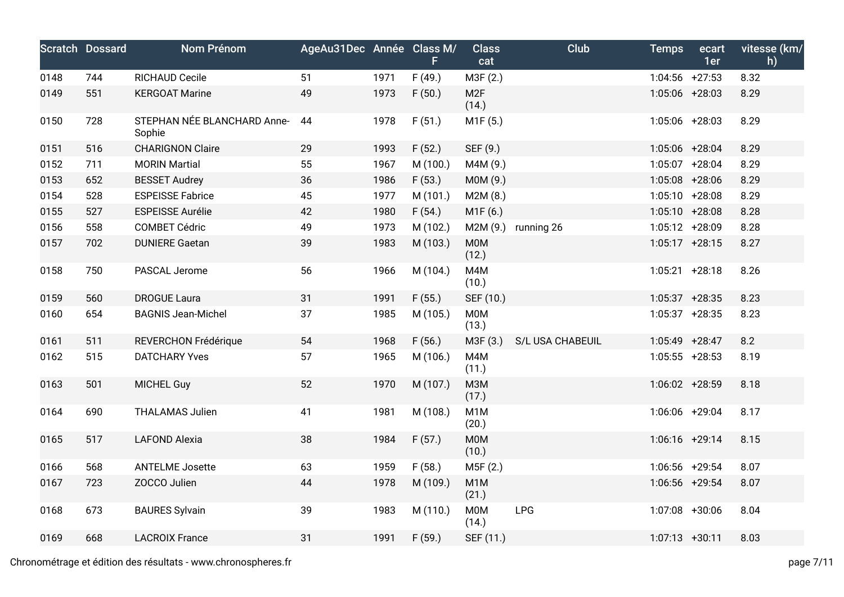|      | <b>Scratch Dossard</b> | Nom Prénom                            | AgeAu31Dec Année Class M/ |      | F.       | <b>Class</b><br>cat       | Club             | <b>Temps</b>      | ecart<br>1er      | vitesse (km/<br>h) |
|------|------------------------|---------------------------------------|---------------------------|------|----------|---------------------------|------------------|-------------------|-------------------|--------------------|
| 0148 | 744                    | RICHAUD Cecile                        | 51                        | 1971 | F(49.)   | M3F (2.)                  |                  | $1:04:56$ +27:53  |                   | 8.32               |
| 0149 | 551                    | <b>KERGOAT Marine</b>                 | 49                        | 1973 | F(50.)   | M <sub>2F</sub><br>(14.)  |                  | $1:05:06$ +28:03  |                   | 8.29               |
| 0150 | 728                    | STEPHAN NÉE BLANCHARD Anne-<br>Sophie | 44                        | 1978 | F(51.)   | M1F (5.)                  |                  | 1:05:06 +28:03    |                   | 8.29               |
| 0151 | 516                    | <b>CHARIGNON Claire</b>               | 29                        | 1993 | F(52.)   | SEF (9.)                  |                  | 1:05:06 +28:04    |                   | 8.29               |
| 0152 | 711                    | <b>MORIN Martial</b>                  | 55                        | 1967 | M (100.) | M4M (9.)                  |                  | $1:05:07$ +28:04  |                   | 8.29               |
| 0153 | 652                    | <b>BESSET Audrey</b>                  | 36                        | 1986 | F(53.)   | M0M (9.)                  |                  | 1:05:08 +28:06    |                   | 8.29               |
| 0154 | 528                    | <b>ESPEISSE Fabrice</b>               | 45                        | 1977 | M (101.) | M2M(8.)                   |                  | $1:05:10 + 28:08$ |                   | 8.29               |
| 0155 | 527                    | <b>ESPEISSE Aurélie</b>               | 42                        | 1980 | F(54.)   | M1F(6.)                   |                  |                   | $1:05:10 + 28:08$ | 8.28               |
| 0156 | 558                    | <b>COMBET Cédric</b>                  | 49                        | 1973 | M (102.) | M2M (9.)                  | running 26       | $1:05:12 + 28:09$ |                   | 8.28               |
| 0157 | 702                    | <b>DUNIERE Gaetan</b>                 | 39                        | 1983 | M (103.) | M0M<br>(12.)              |                  | $1:05:17$ +28:15  |                   | 8.27               |
| 0158 | 750                    | PASCAL Jerome                         | 56                        | 1966 | M (104.) | M4M<br>(10.)              |                  | $1:05:21 + 28:18$ |                   | 8.26               |
| 0159 | 560                    | <b>DROGUE Laura</b>                   | 31                        | 1991 | F(55.)   | SEF (10.)                 |                  | $1:05:37$ +28:35  |                   | 8.23               |
| 0160 | 654                    | <b>BAGNIS Jean-Michel</b>             | 37                        | 1985 | M (105.) | <b>MOM</b><br>(13.)       |                  | $1:05:37$ +28:35  |                   | 8.23               |
| 0161 | 511                    | REVERCHON Frédérique                  | 54                        | 1968 | F(56.)   | M3F (3.)                  | S/L USA CHABEUIL | 1:05:49 +28:47    |                   | 8.2                |
| 0162 | 515                    | <b>DATCHARY Yves</b>                  | 57                        | 1965 | M (106.) | M4M<br>(11.)              |                  | $1:05:55$ +28:53  |                   | 8.19               |
| 0163 | 501                    | <b>MICHEL Guy</b>                     | 52                        | 1970 | M (107.) | МЗМ<br>(17.)              |                  | $1:06:02 +28:59$  |                   | 8.18               |
| 0164 | 690                    | <b>THALAMAS Julien</b>                | 41                        | 1981 | M (108.) | M <sub>1</sub> M<br>(20.) |                  |                   | 1:06:06 +29:04    | 8.17               |
| 0165 | 517                    | <b>LAFOND Alexia</b>                  | 38                        | 1984 | F(57.)   | <b>MOM</b><br>(10.)       |                  | $1:06:16$ +29:14  |                   | 8.15               |
| 0166 | 568                    | <b>ANTELME Josette</b>                | 63                        | 1959 | F(58.)   | M5F (2.)                  |                  | 1:06:56 +29:54    |                   | 8.07               |
| 0167 | 723                    | ZOCCO Julien                          | 44                        | 1978 | M (109.) | M <sub>1</sub> M<br>(21.) |                  |                   | 1:06:56 +29:54    | 8.07               |
| 0168 | 673                    | <b>BAURES Sylvain</b>                 | 39                        | 1983 | M (110.) | M0M<br>(14.)              | <b>LPG</b>       | 1:07:08 +30:06    |                   | 8.04               |
| 0169 | 668                    | <b>LACROIX France</b>                 | 31                        | 1991 | F(59.)   | SEF (11.)                 |                  | $1:07:13 +30:11$  |                   | 8.03               |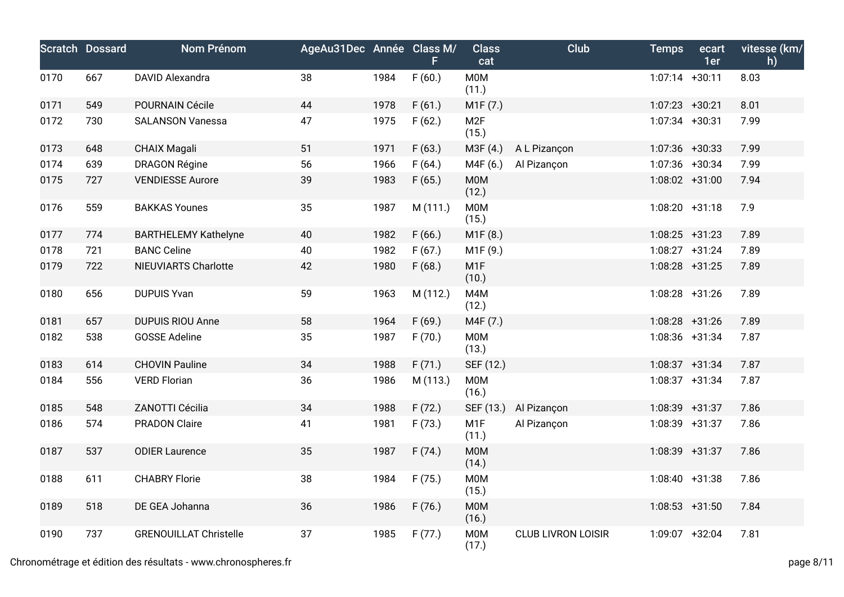|      | <b>Scratch Dossard</b> | Nom Prénom                    | AgeAu31Dec Année Class M/ |      | F.       | <b>Class</b><br>cat       | Club                      | <b>Temps</b>     | ecart<br>1er | vitesse (km/<br>h) |
|------|------------------------|-------------------------------|---------------------------|------|----------|---------------------------|---------------------------|------------------|--------------|--------------------|
| 0170 | 667                    | DAVID Alexandra               | 38                        | 1984 | F(60.)   | <b>M0M</b><br>(11.)       |                           | $1:07:14$ +30:11 |              | 8.03               |
| 0171 | 549                    | POURNAIN Cécile               | 44                        | 1978 | F(61.)   | M1F (7.)                  |                           | $1:07:23$ +30:21 |              | 8.01               |
| 0172 | 730                    | <b>SALANSON Vanessa</b>       | 47                        | 1975 | F(62.)   | M <sub>2F</sub><br>(15.)  |                           | $1:07:34$ +30:31 |              | 7.99               |
| 0173 | 648                    | <b>CHAIX Magali</b>           | 51                        | 1971 | F(63.)   | M3F (4.)                  | A L Pizançon              | $1:07:36$ +30:33 |              | 7.99               |
| 0174 | 639                    | <b>DRAGON Régine</b>          | 56                        | 1966 | F(64.)   | M4F (6.)                  | Al Pizançon               | 1:07:36 +30:34   |              | 7.99               |
| 0175 | 727                    | <b>VENDIESSE Aurore</b>       | 39                        | 1983 | F(65.)   | M0M<br>(12.)              |                           | $1:08:02 +31:00$ |              | 7.94               |
| 0176 | 559                    | <b>BAKKAS Younes</b>          | 35                        | 1987 | M (111.) | <b>MOM</b><br>(15.)       |                           | $1:08:20 +31:18$ |              | 7.9                |
| 0177 | 774                    | <b>BARTHELEMY Kathelyne</b>   | 40                        | 1982 | F(66.)   | M1F (8.)                  |                           | $1:08:25$ +31:23 |              | 7.89               |
| 0178 | 721                    | <b>BANC Celine</b>            | 40                        | 1982 | F(67.)   | M1F (9.)                  |                           | 1:08:27 +31:24   |              | 7.89               |
| 0179 | 722                    | NIEUVIARTS Charlotte          | 42                        | 1980 | F(68.)   | M <sub>1</sub> F<br>(10.) |                           | $1:08:28$ +31:25 |              | 7.89               |
| 0180 | 656                    | <b>DUPUIS Yvan</b>            | 59                        | 1963 | M (112.) | M4M<br>(12.)              |                           | 1:08:28 +31:26   |              | 7.89               |
| 0181 | 657                    | <b>DUPUIS RIOU Anne</b>       | 58                        | 1964 | F(69.)   | M4F (7.)                  |                           | $1:08:28$ +31:26 |              | 7.89               |
| 0182 | 538                    | <b>GOSSE Adeline</b>          | 35                        | 1987 | F(70.)   | <b>MOM</b><br>(13.)       |                           | 1:08:36 +31:34   |              | 7.87               |
| 0183 | 614                    | <b>CHOVIN Pauline</b>         | 34                        | 1988 | F(71.)   | SEF (12.)                 |                           | $1:08:37 +31:34$ |              | 7.87               |
| 0184 | 556                    | <b>VERD Florian</b>           | 36                        | 1986 | M (113.) | <b>MOM</b><br>(16.)       |                           | $1:08:37 +31:34$ |              | 7.87               |
| 0185 | 548                    | ZANOTTI Cécilia               | 34                        | 1988 | F(72.)   | SEF (13.)                 | Al Pizançon               | 1:08:39 +31:37   |              | 7.86               |
| 0186 | 574                    | <b>PRADON Claire</b>          | 41                        | 1981 | F(73.)   | M <sub>1</sub> F<br>(11.) | Al Pizançon               | 1:08:39 +31:37   |              | 7.86               |
| 0187 | 537                    | <b>ODIER Laurence</b>         | 35                        | 1987 | F(74.)   | <b>MOM</b><br>(14.)       |                           | 1:08:39 +31:37   |              | 7.86               |
| 0188 | 611                    | <b>CHABRY Florie</b>          | 38                        | 1984 | F(75.)   | <b>MOM</b><br>(15.)       |                           | $1:08:40 +31:38$ |              | 7.86               |
| 0189 | 518                    | DE GEA Johanna                | 36                        | 1986 | F(76.)   | <b>MOM</b><br>(16.)       |                           | $1:08:53 +31:50$ |              | 7.84               |
| 0190 | 737                    | <b>GRENOUILLAT Christelle</b> | 37                        | 1985 | F(77.)   | <b>M0M</b><br>(17.)       | <b>CLUB LIVRON LOISIR</b> | 1:09:07 +32:04   |              | 7.81               |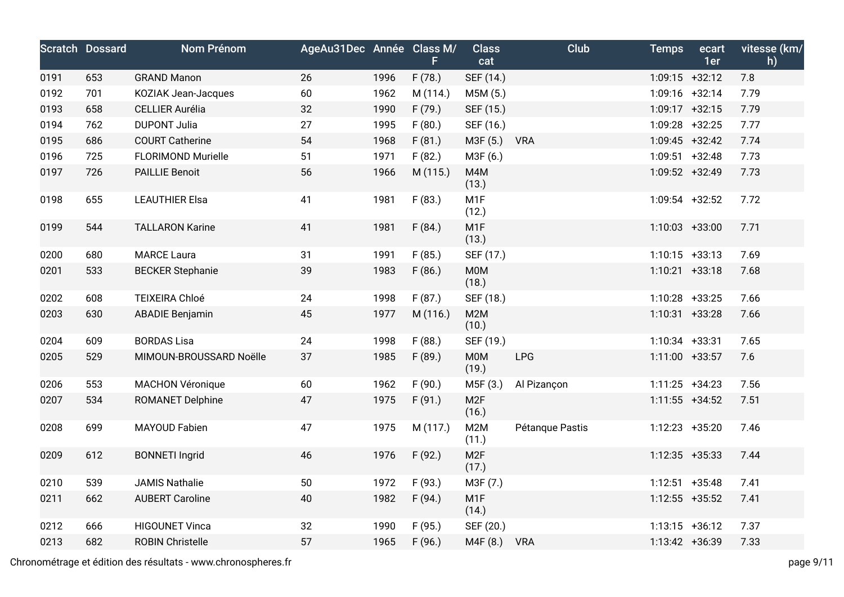|      | <b>Scratch Dossard</b> | <b>Nom Prénom</b>         | AgeAu31Dec Année Class M/ |      | F.       | <b>Class</b><br>cat       | Club            | <b>Temps</b>     | ecart<br>1er | vitesse (km/<br>h) |
|------|------------------------|---------------------------|---------------------------|------|----------|---------------------------|-----------------|------------------|--------------|--------------------|
| 0191 | 653                    | <b>GRAND Manon</b>        | 26                        | 1996 | F(78.)   | SEF (14.)                 |                 | $1:09:15$ +32:12 |              | 7.8                |
| 0192 | 701                    | KOZIAK Jean-Jacques       | 60                        | 1962 | M (114.) | M5M (5.)                  |                 | $1:09:16$ +32:14 |              | 7.79               |
| 0193 | 658                    | <b>CELLIER Aurélia</b>    | 32                        | 1990 | F(79.)   | SEF (15.)                 |                 | $1:09:17 +32:15$ |              | 7.79               |
| 0194 | 762                    | <b>DUPONT Julia</b>       | 27                        | 1995 | F(80.)   | SEF (16.)                 |                 | $1:09:28$ +32:25 |              | 7.77               |
| 0195 | 686                    | <b>COURT Catherine</b>    | 54                        | 1968 | F(81.)   | M3F (5.)                  | <b>VRA</b>      | $1:09:45$ +32:42 |              | 7.74               |
| 0196 | 725                    | <b>FLORIMOND Murielle</b> | 51                        | 1971 | F(82.)   | M3F (6.)                  |                 | $1:09:51$ +32:48 |              | 7.73               |
| 0197 | 726                    | <b>PAILLIE Benoit</b>     | 56                        | 1966 | M (115.) | M4M<br>(13.)              |                 | 1:09:52 +32:49   |              | 7.73               |
| 0198 | 655                    | <b>LEAUTHIER Elsa</b>     | 41                        | 1981 | F(83.)   | M <sub>1</sub> F<br>(12.) |                 | $1:09:54$ +32:52 |              | 7.72               |
| 0199 | 544                    | <b>TALLARON Karine</b>    | 41                        | 1981 | F(84.)   | M <sub>1</sub> F<br>(13.) |                 | $1:10:03 +33:00$ |              | 7.71               |
| 0200 | 680                    | <b>MARCE Laura</b>        | 31                        | 1991 | F(85.)   | SEF (17.)                 |                 | $1:10:15$ +33:13 |              | 7.69               |
| 0201 | 533                    | <b>BECKER Stephanie</b>   | 39                        | 1983 | F(86.)   | <b>M0M</b><br>(18.)       |                 | $1:10:21$ +33:18 |              | 7.68               |
| 0202 | 608                    | TEIXEIRA Chloé            | 24                        | 1998 | F(87.)   | SEF (18.)                 |                 | $1:10:28$ +33:25 |              | 7.66               |
| 0203 | 630                    | <b>ABADIE Benjamin</b>    | 45                        | 1977 | M (116.) | M2M<br>(10.)              |                 | $1:10:31$ +33:28 |              | 7.66               |
| 0204 | 609                    | <b>BORDAS Lisa</b>        | 24                        | 1998 | F(88.)   | SEF (19.)                 |                 | $1:10:34$ +33:31 |              | 7.65               |
| 0205 | 529                    | MIMOUN-BROUSSARD Noëlle   | 37                        | 1985 | F(89.)   | <b>M0M</b><br>(19.)       | LPG             | $1:11:00$ +33:57 |              | 7.6                |
| 0206 | 553                    | <b>MACHON Véronique</b>   | 60                        | 1962 | F(90.)   | M5F (3.)                  | Al Pizançon     | $1:11:25$ +34:23 |              | 7.56               |
| 0207 | 534                    | ROMANET Delphine          | 47                        | 1975 | F(91.)   | M <sub>2F</sub><br>(16.)  |                 | $1:11:55$ +34:52 |              | 7.51               |
| 0208 | 699                    | <b>MAYOUD Fabien</b>      | 47                        | 1975 | M (117.) | M2M<br>(11.)              | Pétanque Pastis | 1:12:23 +35:20   |              | 7.46               |
| 0209 | 612                    | <b>BONNETI Ingrid</b>     | 46                        | 1976 | F(92.)   | M <sub>2F</sub><br>(17.)  |                 | $1:12:35$ +35:33 |              | 7.44               |
| 0210 | 539                    | <b>JAMIS Nathalie</b>     | 50                        | 1972 | F(93.)   | M3F (7.)                  |                 | $1:12:51$ +35:48 |              | 7.41               |
| 0211 | 662                    | <b>AUBERT Caroline</b>    | 40                        | 1982 | F(94.)   | M <sub>1</sub> F<br>(14.) |                 | $1:12:55$ +35:52 |              | 7.41               |
| 0212 | 666                    | <b>HIGOUNET Vinca</b>     | 32                        | 1990 | F(95.)   | SEF (20.)                 |                 | $1:13:15 +36:12$ |              | 7.37               |
| 0213 | 682                    | <b>ROBIN Christelle</b>   | 57                        | 1965 | F(96.)   | M4F (8.)                  | <b>VRA</b>      | $1:13:42 +36:39$ |              | 7.33               |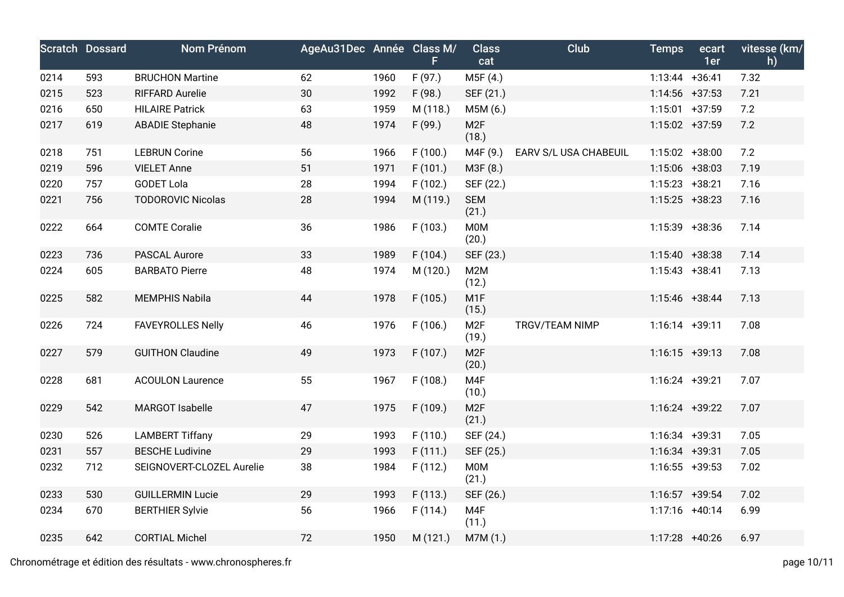|      | <b>Scratch Dossard</b> | Nom Prénom                | AgeAu31Dec Année Class M/ |      | F.       | <b>Class</b><br>cat       | Club                  | <b>Temps</b>      | ecart<br>1er | vitesse (km/<br>h) |
|------|------------------------|---------------------------|---------------------------|------|----------|---------------------------|-----------------------|-------------------|--------------|--------------------|
| 0214 | 593                    | <b>BRUCHON Martine</b>    | 62                        | 1960 | F(97.)   | M5F (4.)                  |                       | $1:13:44$ +36:41  |              | 7.32               |
| 0215 | 523                    | <b>RIFFARD Aurelie</b>    | 30                        | 1992 | F(98.)   | SEF (21.)                 |                       | $1:14:56$ +37:53  |              | 7.21               |
| 0216 | 650                    | <b>HILAIRE Patrick</b>    | 63                        | 1959 | M (118.) | M5M (6.)                  |                       | $1:15:01$ +37:59  |              | 7.2                |
| 0217 | 619                    | <b>ABADIE Stephanie</b>   | 48                        | 1974 | F(99.)   | M <sub>2F</sub><br>(18.)  |                       | 1:15:02 +37:59    |              | 7.2                |
| 0218 | 751                    | <b>LEBRUN Corine</b>      | 56                        | 1966 | F(100.)  | M4F (9.)                  | EARV S/L USA CHABEUIL | 1:15:02 +38:00    |              | 7.2                |
| 0219 | 596                    | <b>VIELET Anne</b>        | 51                        | 1971 | F(101.)  | M3F (8.)                  |                       | $1:15:06$ +38:03  |              | 7.19               |
| 0220 | 757                    | <b>GODET Lola</b>         | 28                        | 1994 | F(102.)  | SEF (22.)                 |                       | $1:15:23$ +38:21  |              | 7.16               |
| 0221 | 756                    | <b>TODOROVIC Nicolas</b>  | 28                        | 1994 | M (119.) | <b>SEM</b><br>(21.)       |                       | $1:15:25$ +38:23  |              | 7.16               |
| 0222 | 664                    | <b>COMTE Coralie</b>      | 36                        | 1986 | F(103.)  | M0M<br>(20.)              |                       | 1:15:39 +38:36    |              | 7.14               |
| 0223 | 736                    | PASCAL Aurore             | 33                        | 1989 | F(104.)  | SEF (23.)                 |                       | $1:15:40 + 38:38$ |              | 7.14               |
| 0224 | 605                    | <b>BARBATO Pierre</b>     | 48                        | 1974 | M (120.) | M2M<br>(12.)              |                       | $1:15:43 +38:41$  |              | 7.13               |
| 0225 | 582                    | <b>MEMPHIS Nabila</b>     | 44                        | 1978 | F(105.)  | M <sub>1</sub> F<br>(15.) |                       | $1:15:46$ +38:44  |              | 7.13               |
| 0226 | 724                    | <b>FAVEYROLLES Nelly</b>  | 46                        | 1976 | F(106.)  | M <sub>2F</sub><br>(19.)  | TRGV/TEAM NIMP        | $1:16:14$ +39:11  |              | 7.08               |
| 0227 | 579                    | <b>GUITHON Claudine</b>   | 49                        | 1973 | F(107.)  | M <sub>2F</sub><br>(20.)  |                       | $1:16:15 +39:13$  |              | 7.08               |
| 0228 | 681                    | <b>ACOULON Laurence</b>   | 55                        | 1967 | F(108.)  | M4F<br>(10.)              |                       | 1:16:24 +39:21    |              | 7.07               |
| 0229 | 542                    | MARGOT Isabelle           | 47                        | 1975 | F(109.)  | M <sub>2F</sub><br>(21.)  |                       | $1:16:24$ +39:22  |              | 7.07               |
| 0230 | 526                    | <b>LAMBERT Tiffany</b>    | 29                        | 1993 | F(110.)  | SEF (24.)                 |                       | 1:16:34 +39:31    |              | 7.05               |
| 0231 | 557                    | <b>BESCHE Ludivine</b>    | 29                        | 1993 | F(111.)  | SEF (25.)                 |                       | 1:16:34 +39:31    |              | 7.05               |
| 0232 | 712                    | SEIGNOVERT-CLOZEL Aurelie | 38                        | 1984 | F(112.)  | <b>M0M</b><br>(21.)       |                       | $1:16:55$ +39:53  |              | 7.02               |
| 0233 | 530                    | <b>GUILLERMIN Lucie</b>   | 29                        | 1993 | F(113.)  | SEF (26.)                 |                       | $1:16:57$ +39:54  |              | 7.02               |
| 0234 | 670                    | <b>BERTHIER Sylvie</b>    | 56                        | 1966 | F(114.)  | M4F<br>(11.)              |                       | $1:17:16$ +40:14  |              | 6.99               |
| 0235 | 642                    | <b>CORTIAL Michel</b>     | 72                        | 1950 | M (121.) | M7M (1.)                  |                       | 1:17:28 +40:26    |              | 6.97               |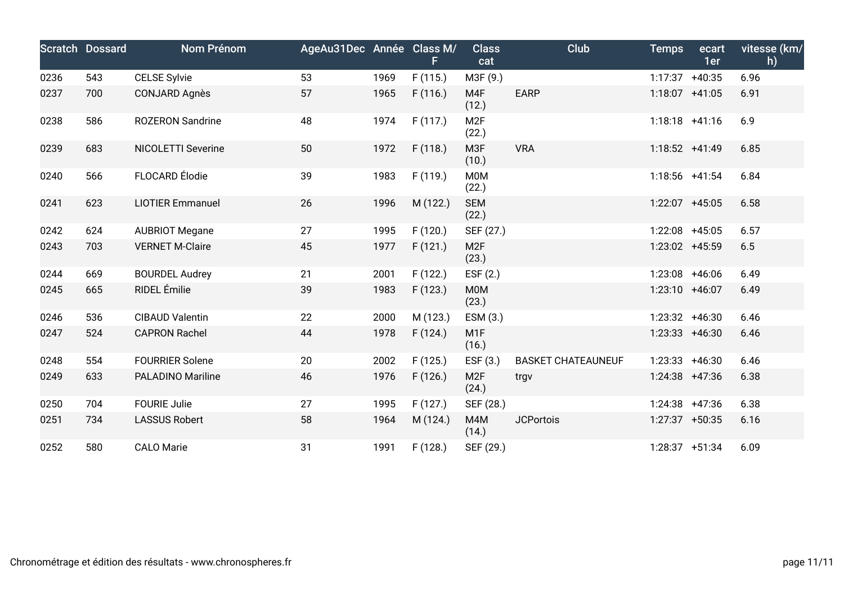|      | <b>Scratch Dossard</b> | Nom Prénom                | AgeAu31Dec Année Class M/ |      | F.       | <b>Class</b><br>cat       | Club                      | <b>Temps</b>      | ecart<br>1er | vitesse (km/<br>h) |
|------|------------------------|---------------------------|---------------------------|------|----------|---------------------------|---------------------------|-------------------|--------------|--------------------|
| 0236 | 543                    | <b>CELSE Sylvie</b>       | 53                        | 1969 | F(115.)  | M3F (9.)                  |                           | 1:17:37 +40:35    |              | 6.96               |
| 0237 | 700                    | <b>CONJARD Agnès</b>      | 57                        | 1965 | F(116.)  | M4F<br>(12.)              | <b>EARP</b>               | 1:18:07 +41:05    |              | 6.91               |
| 0238 | 586                    | <b>ROZERON Sandrine</b>   | 48                        | 1974 | F(117.)  | M <sub>2F</sub><br>(22.)  |                           | $1:18:18$ +41:16  |              | 6.9                |
| 0239 | 683                    | <b>NICOLETTI Severine</b> | 50                        | 1972 | F(118.)  | M <sub>3F</sub><br>(10.)  | <b>VRA</b>                | $1:18:52 +41:49$  |              | 6.85               |
| 0240 | 566                    | FLOCARD Élodie            | 39                        | 1983 | F (119.) | M0M<br>(22.)              |                           | 1:18:56 +41:54    |              | 6.84               |
| 0241 | 623                    | <b>LIOTIER Emmanuel</b>   | 26                        | 1996 | M (122.) | <b>SEM</b><br>(22.)       |                           | 1:22:07 +45:05    |              | 6.58               |
| 0242 | 624                    | <b>AUBRIOT Megane</b>     | 27                        | 1995 | F(120.)  | SEF (27.)                 |                           | 1:22:08 +45:05    |              | 6.57               |
| 0243 | 703                    | <b>VERNET M-Claire</b>    | 45                        | 1977 | F(121.)  | M <sub>2F</sub><br>(23.)  |                           | 1:23:02 +45:59    |              | 6.5                |
| 0244 | 669                    | <b>BOURDEL Audrey</b>     | 21                        | 2001 | F(122.)  | EST(2.)                   |                           | 1:23:08 +46:06    |              | 6.49               |
| 0245 | 665                    | RIDEL Émilie              | 39                        | 1983 | F(123.)  | <b>MOM</b><br>(23.)       |                           | 1:23:10 +46:07    |              | 6.49               |
| 0246 | 536                    | <b>CIBAUD Valentin</b>    | 22                        | 2000 | M (123.) | ESM (3.)                  |                           | 1:23:32 +46:30    |              | 6.46               |
| 0247 | 524                    | <b>CAPRON Rachel</b>      | 44                        | 1978 | F(124.)  | M <sub>1</sub> F<br>(16.) |                           | $1:23:33 + 46:30$ |              | 6.46               |
| 0248 | 554                    | <b>FOURRIER Solene</b>    | 20                        | 2002 | F(125.)  | ESF $(3.)$                | <b>BASKET CHATEAUNEUF</b> | $1:23:33 + 46:30$ |              | 6.46               |
| 0249 | 633                    | <b>PALADINO Mariline</b>  | 46                        | 1976 | F(126.)  | M <sub>2F</sub><br>(24.)  | trgv                      | 1:24:38 +47:36    |              | 6.38               |
| 0250 | 704                    | <b>FOURIE Julie</b>       | 27                        | 1995 | F(127.)  | SEF (28.)                 |                           | $1:24:38$ +47:36  |              | 6.38               |
| 0251 | 734                    | <b>LASSUS Robert</b>      | 58                        | 1964 | M (124.) | M4M<br>(14.)              | <b>JCPortois</b>          | $1:27:37$ +50:35  |              | 6.16               |
| 0252 | 580                    | <b>CALO Marie</b>         | 31                        | 1991 | F(128.)  | SEF (29.)                 |                           | $1:28:37 +51:34$  |              | 6.09               |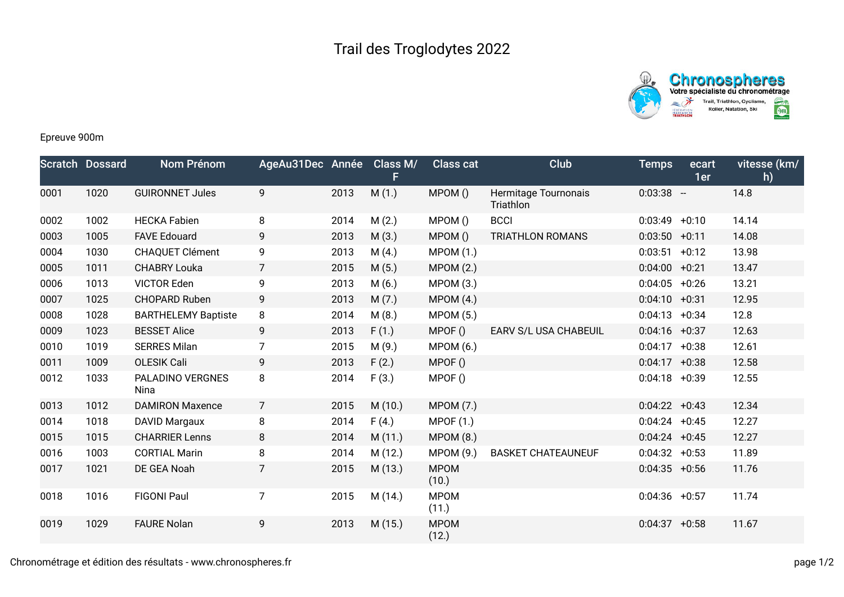



# Epreuve 900m

|      | <b>Scratch Dossard</b> | Nom Prénom                 | AgeAu31Dec Année |      | Class M/ | <b>Class cat</b>     | Club                              | <b>Temps</b>     | ecart<br>1er | vitesse (km/<br>h) |
|------|------------------------|----------------------------|------------------|------|----------|----------------------|-----------------------------------|------------------|--------------|--------------------|
| 0001 | 1020                   | <b>GUIRONNET Jules</b>     | 9                | 2013 | M(1.)    | MPOM()               | Hermitage Tournonais<br>Triathlon | $0:03:38 -$      |              | 14.8               |
| 0002 | 1002                   | <b>HECKA Fabien</b>        | 8                | 2014 | M(2.)    | MPOM ()              | <b>BCCI</b>                       | $0:03:49 +0:10$  |              | 14.14              |
| 0003 | 1005                   | <b>FAVE Edouard</b>        | 9                | 2013 | M(3.)    | MPOM()               | <b>TRIATHLON ROMANS</b>           | $0:03:50 +0:11$  |              | 14.08              |
| 0004 | 1030                   | CHAQUET Clément            | 9                | 2013 | M(4.)    | <b>MPOM (1.)</b>     |                                   | $0:03:51 + 0:12$ |              | 13.98              |
| 0005 | 1011                   | <b>CHABRY Louka</b>        | $\overline{7}$   | 2015 | M(5.)    | <b>MPOM (2.)</b>     |                                   | $0:04:00$ +0:21  |              | 13.47              |
| 0006 | 1013                   | <b>VICTOR Eden</b>         | 9                | 2013 | M(6.)    | MPOM (3.)            |                                   | $0:04:05$ +0:26  |              | 13.21              |
| 0007 | 1025                   | <b>CHOPARD Ruben</b>       | 9                | 2013 | M(7.)    | MPOM(4.)             |                                   | $0:04:10 + 0:31$ |              | 12.95              |
| 0008 | 1028                   | <b>BARTHELEMY Baptiste</b> | 8                | 2014 | M(8.)    | <b>MPOM (5.)</b>     |                                   | $0:04:13 + 0:34$ |              | 12.8               |
| 0009 | 1023                   | <b>BESSET Alice</b>        | 9                | 2013 | F(1.)    | MPOF()               | EARV S/L USA CHABEUIL             | $0:04:16$ +0:37  |              | 12.63              |
| 0010 | 1019                   | <b>SERRES Milan</b>        | $\overline{7}$   | 2015 | M(9.)    | <b>MPOM (6.)</b>     |                                   | $0:04:17 + 0:38$ |              | 12.61              |
| 0011 | 1009                   | <b>OLESIK Cali</b>         | 9                | 2013 | F(2.)    | MPOF()               |                                   | $0:04:17 + 0:38$ |              | 12.58              |
| 0012 | 1033                   | PALADINO VERGNES<br>Nina   | 8                | 2014 | F(3.)    | MPOF()               |                                   | $0:04:18$ +0:39  |              | 12.55              |
| 0013 | 1012                   | <b>DAMIRON Maxence</b>     | $\overline{7}$   | 2015 | M(10.)   | <b>MPOM (7.)</b>     |                                   | $0:04:22 + 0:43$ |              | 12.34              |
| 0014 | 1018                   | <b>DAVID Margaux</b>       | 8                | 2014 | F(4.)    | <b>MPOF (1.)</b>     |                                   | $0:04:24 +0:45$  |              | 12.27              |
| 0015 | 1015                   | <b>CHARRIER Lenns</b>      | 8                | 2014 | M(11.)   | MPOM(8.)             |                                   | $0:04:24 +0:45$  |              | 12.27              |
| 0016 | 1003                   | <b>CORTIAL Marin</b>       | 8                | 2014 | M(12.)   | <b>MPOM (9.)</b>     | <b>BASKET CHATEAUNEUF</b>         | $0:04:32 +0:53$  |              | 11.89              |
| 0017 | 1021                   | DE GEA Noah                | 7                | 2015 | M (13.)  | <b>MPOM</b><br>(10.) |                                   | $0:04:35$ +0:56  |              | 11.76              |
| 0018 | 1016                   | <b>FIGONI Paul</b>         | $\overline{7}$   | 2015 | M (14.)  | <b>MPOM</b><br>(11.) |                                   | $0:04:36$ +0:57  |              | 11.74              |
| 0019 | 1029                   | <b>FAURE Nolan</b>         | 9                | 2013 | M(15.)   | <b>MPOM</b><br>(12.) |                                   | 0:04:37          | $+0:58$      | 11.67              |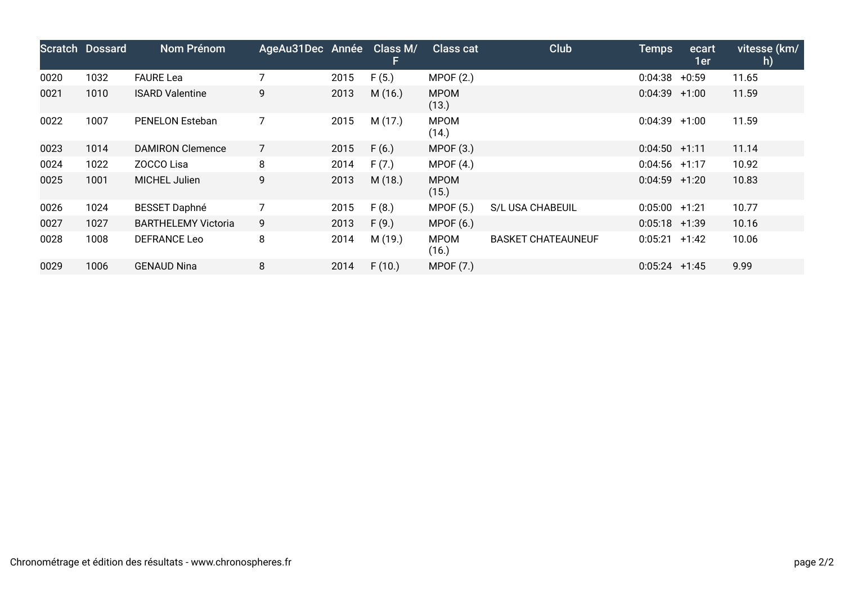|      | <b>Scratch Dossard</b> | <b>Nom Prénom</b>          | AgeAu31Dec Année Class M/ |      |         | <b>Class cat</b>     | <b>Club</b>               | <b>Temps</b>    | ecart<br>1er | vitesse (km/<br>h) |
|------|------------------------|----------------------------|---------------------------|------|---------|----------------------|---------------------------|-----------------|--------------|--------------------|
| 0020 | 1032                   | <b>FAURE Lea</b>           |                           | 2015 | F(5.)   | MPOF(2.)             |                           | 0:04:38         | $+0:59$      | 11.65              |
| 0021 | 1010                   | <b>ISARD Valentine</b>     | 9                         | 2013 | M(16.)  | <b>MPOM</b><br>(13.) |                           | 0:04:39         | $+1:00$      | 11.59              |
| 0022 | 1007                   | <b>PENELON Esteban</b>     |                           | 2015 | M(17.)  | <b>MPOM</b><br>(14.) |                           | 0:04:39         | $+1:00$      | 11.59              |
| 0023 | 1014                   | <b>DAMIRON Clemence</b>    | $\overline{7}$            | 2015 | F(6.)   | MPOF(3.)             |                           | $0:04:50 +1:11$ |              | 11.14              |
| 0024 | 1022                   | ZOCCO Lisa                 | 8                         | 2014 | F(7.)   | MPOF $(4.)$          |                           | $0:04:56$ +1:17 |              | 10.92              |
| 0025 | 1001                   | MICHEL Julien              | 9                         | 2013 | M(18.)  | <b>MPOM</b><br>(15.) |                           | $0:04:59$ +1:20 |              | 10.83              |
| 0026 | 1024                   | <b>BESSET Daphné</b>       |                           | 2015 | F(8.)   | MPOF(5.)             | <b>S/L USA CHABEUIL</b>   | $0:05:00$ +1:21 |              | 10.77              |
| 0027 | 1027                   | <b>BARTHELEMY Victoria</b> | 9                         | 2013 | F(9.)   | MPOF(6.)             |                           | $0:05:18$ +1:39 |              | 10.16              |
| 0028 | 1008                   | DEFRANCE Leo               | 8                         | 2014 | M (19.) | <b>MPOM</b><br>(16.) | <b>BASKET CHATEAUNEUF</b> | $0:05:21 +1:42$ |              | 10.06              |
| 0029 | 1006                   | <b>GENAUD Nina</b>         | 8                         | 2014 | F(10.)  | MPOF (7.)            |                           | $0:05:24$ +1:45 |              | 9.99               |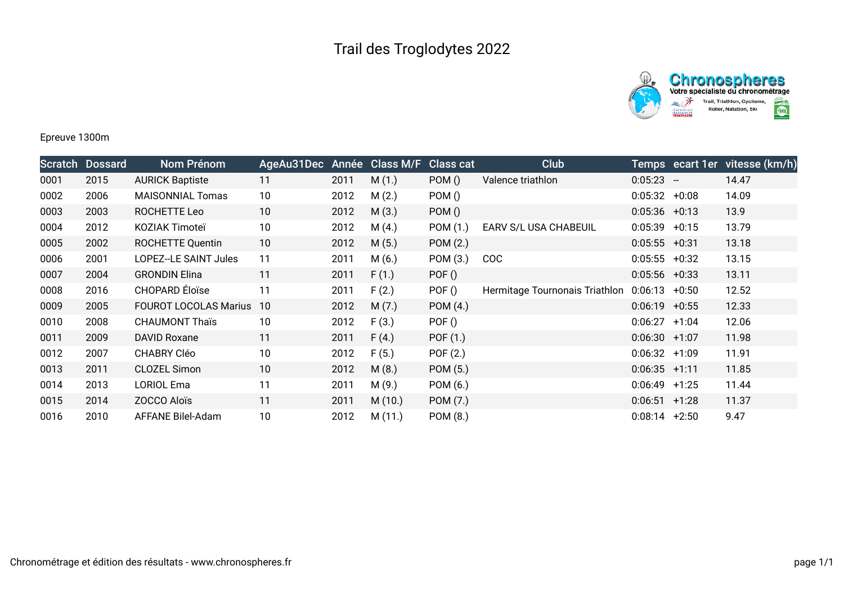



#### Epreuve 1300m

| Scratch | <b>Dossard</b> | Nom Prénom                   | AgeAu31Dec Année Class M/F |      |        | <b>Class cat</b> | <b>Club</b>                    |                  |         | Temps ecart 1er vitesse (km/h) |
|---------|----------------|------------------------------|----------------------------|------|--------|------------------|--------------------------------|------------------|---------|--------------------------------|
| 0001    | 2015           | <b>AURICK Baptiste</b>       | 11                         | 2011 | M(1.)  | POM()            | Valence triathlon              | $0:05:23 -$      |         | 14.47                          |
| 0002    | 2006           | <b>MAISONNIAL Tomas</b>      | 10                         | 2012 | M(2.)  | POM ()           |                                | $0:05:32 +0:08$  |         | 14.09                          |
| 0003    | 2003           | ROCHETTE Leo                 | 10                         | 2012 | M(3.)  | POM()            |                                | $0:05:36$ +0:13  |         | 13.9                           |
| 0004    | 2012           | KOZIAK Timoteï               | 10                         | 2012 | M(4.)  | POM (1.)         | EARV S/L USA CHABEUIL          | $0:05:39 +0:15$  |         | 13.79                          |
| 0005    | 2002           | <b>ROCHETTE Quentin</b>      | 10                         | 2012 | M(5.)  | POM (2.)         |                                | $0:05:55$ +0:31  |         | 13.18                          |
| 0006    | 2001           | LOPEZ--LE SAINT Jules        | 11                         | 2011 | M(6.)  | POM (3.)         | <b>COC</b>                     | 0:05:55          | $+0:32$ | 13.15                          |
| 0007    | 2004           | <b>GRONDIN Elina</b>         | 11                         | 2011 | F(1.)  | POF()            |                                | $0:05:56$ +0:33  |         | 13.11                          |
| 0008    | 2016           | CHOPARD Éloïse               | 11                         | 2011 | F(2.)  | POF ()           | Hermitage Tournonais Triathlon | $0:06:13 + 0:50$ |         | 12.52                          |
| 0009    | 2005           | <b>FOUROT LOCOLAS Marius</b> | -10                        | 2012 | M(7.)  | POM(4.)          |                                | $0:06:19$ +0:55  |         | 12.33                          |
| 0010    | 2008           | <b>CHAUMONT Thaïs</b>        | 10                         | 2012 | F(3.)  | POF()            |                                | 0:06:27          | $+1:04$ | 12.06                          |
| 0011    | 2009           | <b>DAVID Roxane</b>          | 11                         | 2011 | F(4.)  | POF (1.)         |                                | $0:06:30 +1:07$  |         | 11.98                          |
| 0012    | 2007           | <b>CHABRY Cléo</b>           | 10                         | 2012 | F(5.)  | POF (2.)         |                                | $0:06:32 +1:09$  |         | 11.91                          |
| 0013    | 2011           | <b>CLOZEL Simon</b>          | 10                         | 2012 | M(8.)  | POM (5.)         |                                | $0:06:35 +1:11$  |         | 11.85                          |
| 0014    | 2013           | <b>LORIOL Ema</b>            | 11                         | 2011 | M(9.)  | POM (6.)         |                                | 0:06:49          | +1:25   | 11.44                          |
| 0015    | 2014           | ZOCCO Aloïs                  | 11                         | 2011 | M(10.) | POM (7.)         |                                | 0:06:51          | $+1:28$ | 11.37                          |
| 0016    | 2010           | AFFANE Bilel-Adam            | 10                         | 2012 | M(11.) | POM (8.)         |                                | 0:08:14          | $+2:50$ | 9.47                           |